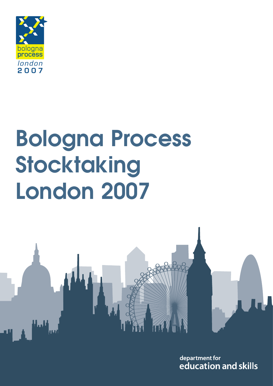

# **Bologna Process Stocktaking London 2007**



department for education and skills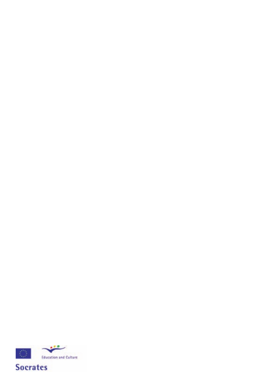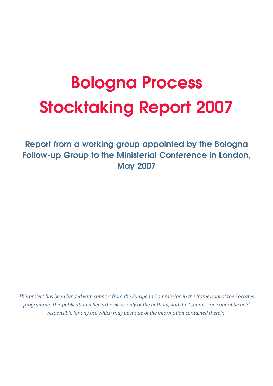## **Bologna Process Stocktaking Report 2007**

**Report from a working group appointed by the Bologna Follow-up Group to the Ministerial Conference in London, May 2007**

*This project has been funded with support from the European Commission in the framework of the Socrates programme. This publication reflects the views only of the authors, and the Commission cannot be held responsible for any use which may be made of the information contained therein.*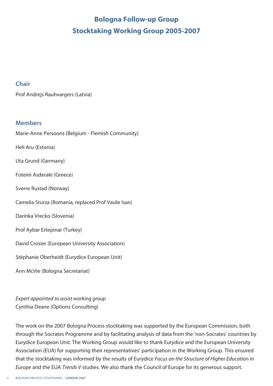### **Bologna Follow-up Group Stocktaking Working Group 2005-2007**

#### **Chair**

Prof Andrejs Rauhvargers (Latvia)

#### **Members**

Marie-Anne Persoons (Belgium - Flemish Community)

Heli Aru (Estonia)

Uta Grund (Germany)

Foteini Asderaki (Greece)

Sverre Rustad (Norway)

Camelia Sturza (Romania, replaced Prof Vasile Isan)

Darinka Vrecko (Slovenia)

Prof Aybar Ertepinar (Turkey)

David Crosier (European University Association)

Stéphanie Oberheidt (Eurydice European Unit)

Ann McVie (Bologna Secretariat)

*Expert appointed to assist working group* Cynthia Deane (Options Consulting)

The work on the 2007 Bologna Process stocktaking was supported by the European Commission, both through the Socrates Programme and by facilitating analysis of data from the 'non-Socrates' countries by Eurydice European Unit. The Working Group would like to thank Eurydice and the European University Association (EUA) for supporting their representatives' participation in the Working Group. This ensured that the stocktaking was informed by the results of Eurydice *Focus on the Structure of Higher Education in Europe* and the EUA *Trends V* studies. We also thank the Council of Europe for its generous support.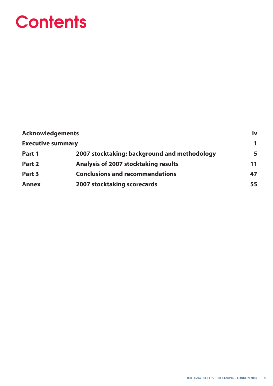## **Contents**

| <b>Acknowledgements</b>  |                                              | iv |
|--------------------------|----------------------------------------------|----|
| <b>Executive summary</b> |                                              | 1  |
| Part 1                   | 2007 stocktaking: background and methodology | 5  |
| Part 2                   | <b>Analysis of 2007 stocktaking results</b>  | 11 |
| Part 3                   | <b>Conclusions and recommendations</b>       | 47 |
| <b>Annex</b>             | <b>2007 stocktaking scorecards</b>           | 55 |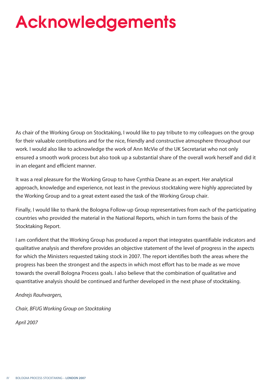## **Acknowledgements**

As chair of the Working Group on Stocktaking, I would like to pay tribute to my colleagues on the group for their valuable contributions and for the nice, friendly and constructive atmosphere throughout our work. I would also like to acknowledge the work of Ann McVie of the UK Secretariat who not only ensured a smooth work process but also took up a substantial share of the overall work herself and did it in an elegant and efficient manner.

It was a real pleasure for the Working Group to have Cynthia Deane as an expert. Her analytical approach, knowledge and experience, not least in the previous stocktaking were highly appreciated by the Working Group and to a great extent eased the task of the Working Group chair.

Finally, I would like to thank the Bologna Follow-up Group representatives from each of the participating countries who provided the material in the National Reports, which in turn forms the basis of the Stocktaking Report.

I am confident that the Working Group has produced a report that integrates quantifiable indicators and qualitative analysis and therefore provides an objective statement of the level of progress in the aspects for which the Ministers requested taking stock in 2007. The report identifies both the areas where the progress has been the strongest and the aspects in which most effort has to be made as we move towards the overall Bologna Process goals. I also believe that the combination of qualitative and quantitative analysis should be continued and further developed in the next phase of stocktaking.

#### *Andrejs Rauhvargers,*

*Chair, BFUG Working Group on Stocktaking* 

*April 2007*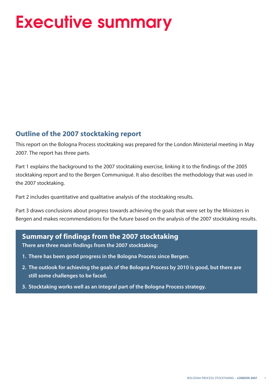## **Executive summary**

#### **Outline of the 2007 stocktaking report**

This report on the Bologna Process stocktaking was prepared for the London Ministerial meeting in May 2007. The report has three parts.

Part 1 explains the background to the 2007 stocktaking exercise, linking it to the findings of the 2005 stocktaking report and to the Bergen Communiqué. It also describes the methodology that was used in the 2007 stocktaking.

Part 2 includes quantitative and qualitative analysis of the stocktaking results.

Part 3 draws conclusions about progress towards achieving the goals that were set by the Ministers in Bergen and makes recommendations for the future based on the analysis of the 2007 stocktaking results.

#### **Summary of findings from the 2007 stocktaking**

**There are three main findings from the 2007 stocktaking:**

- **1. There has been good progress in the Bologna Process since Bergen.**
- **2. The outlook for achieving the goals of the Bologna Process by 2010 is good, but there are still some challenges to be faced.**
- **3. Stocktaking works well as an integral part of the Bologna Process strategy.**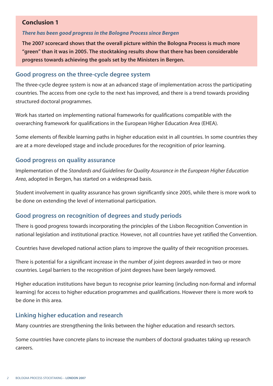#### **Conclusion 1**

#### *There has been good progress in the Bologna Process since Bergen*

**The 2007 scorecard shows that the overall picture within the Bologna Process is much more "green" than it was in 2005. The stocktaking results show that there has been considerable progress towards achieving the goals set by the Ministers in Bergen.**

#### **Good progress on the three-cycle degree system**

The three-cycle degree system is now at an advanced stage of implementation across the participating countries. The access from one cycle to the next has improved, and there is a trend towards providing structured doctoral programmes.

Work has started on implementing national frameworks for qualifications compatible with the overarching framework for qualifications in the European Higher Education Area (EHEA).

Some elements of flexible learning paths in higher education exist in all countries. In some countries they are at a more developed stage and include procedures for the recognition of prior learning.

#### **Good progress on quality assurance**

Implementation of the *Standards and Guidelines for Quality Assurance in the European Higher Education Area*, adopted in Bergen, has started on a widespread basis.

Student involvement in quality assurance has grown significantly since 2005, while there is more work to be done on extending the level of international participation.

#### **Good progress on recognition of degrees and study periods**

There is good progress towards incorporating the principles of the Lisbon Recognition Convention in national legislation and institutional practice. However, not all countries have yet ratified the Convention.

Countries have developed national action plans to improve the quality of their recognition processes.

There is potential for a significant increase in the number of joint degrees awarded in two or more countries. Legal barriers to the recognition of joint degrees have been largely removed.

Higher education institutions have begun to recognise prior learning (including non-formal and informal learning) for access to higher education programmes and qualifications. However there is more work to be done in this area.

#### **Linking higher education and research**

Many countries are strengthening the links between the higher education and research sectors.

Some countries have concrete plans to increase the numbers of doctoral graduates taking up research careers.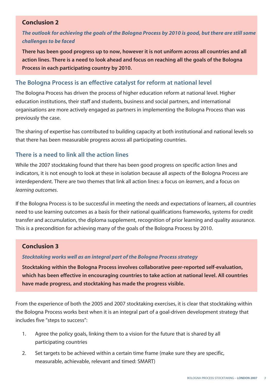#### **Conclusion 2**

#### *The outlook for achieving the goals of the Bologna Process by 2010 is good, but there are still some challenges to be faced*

**There has been good progress up to now, however it is not uniform across all countries and all action lines. There is a need to look ahead and focus on reaching all the goals of the Bologna Process in each participating country by 2010.**

#### **The Bologna Process is an effective catalyst for reform at national level**

The Bologna Process has driven the process of higher education reform at national level. Higher education institutions, their staff and students, business and social partners, and international organisations are more actively engaged as partners in implementing the Bologna Process than was previously the case.

The sharing of expertise has contributed to building capacity at both institutional and national levels so that there has been measurable progress across all participating countries.

#### **There is a need to link all the action lines**

While the 2007 stocktaking found that there has been good progress on specific action lines and indicators, it is not enough to look at these in isolation because all aspects of the Bologna Process are interdependent. There are two themes that link all action lines: a focus on *learners*, and a focus on *learning outcomes*.

If the Bologna Process is to be successful in meeting the needs and expectations of learners, all countries need to use learning outcomes as a basis for their national qualifications frameworks, systems for credit transfer and accumulation, the diploma supplement, recognition of prior learning and quality assurance. This is a precondition for achieving many of the goals of the Bologna Process by 2010.

#### **Conclusion 3**

#### *Stocktaking works well as an integral part of the Bologna Process strategy*

**Stocktaking within the Bologna Process involves collaborative peer-reported self-evaluation, which has been effective in encouraging countries to take action at national level. All countries have made progress, and stocktaking has made the progress visible.**

From the experience of both the 2005 and 2007 stocktaking exercises, it is clear that stocktaking within the Bologna Process works best when it is an integral part of a goal-driven development strategy that includes five "steps to success":

- 1. Agree the policy goals, linking them to a vision for the future that is shared by all participating countries
- 2. Set targets to be achieved within a certain time frame (make sure they are specific, measurable, achievable, relevant and timed: SMART)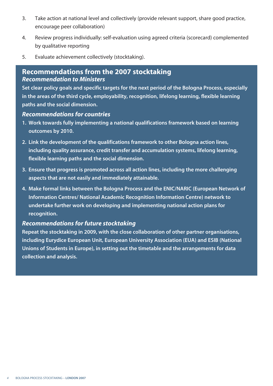- 3. Take action at national level and collectively (provide relevant support, share good practice, encourage peer collaboration)
- 4. Review progress individually: self-evaluation using agreed criteria (scorecard) complemented by qualitative reporting
- 5. Evaluate achievement collectively (stocktaking).

#### **Recommendations from the 2007 stocktaking** *Recommendation to Ministers*

**Set clear policy goals and specific targets for the next period of the Bologna Process, especially in the areas of the third cycle, employability, recognition, lifelong learning, flexible learning paths and the social dimension.** 

#### *Recommendations for countries*

- **1. Work towards fully implementing a national qualifications framework based on learning outcomes by 2010.**
- **2. Link the development of the qualifications framework to other Bologna action lines, including quality assurance, credit transfer and accumulation systems, lifelong learning, flexible learning paths and the social dimension.**
- **3. Ensure that progress is promoted across all action lines, including the more challenging aspects that are not easily and immediately attainable.**
- **4. Make formal links between the Bologna Process and the ENIC/NARIC (European Network of Information Centres/ National Academic Recognition Information Centre) network to undertake further work on developing and implementing national action plans for recognition.**

#### *Recommendations for future stocktaking*

**Repeat the stocktaking in 2009, with the close collaboration of other partner organisations, including Eurydice European Unit, European University Association (EUA) and ESIB (National Unions of Students in Europe), in setting out the timetable and the arrangements for data collection and analysis.**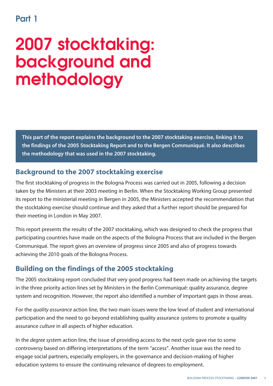### **Part 1**

## **2007 stocktaking: background and methodology**

**This part of the report explains the background to the 2007 stocktaking exercise, linking it to the findings of the 2005 Stocktaking Report and to the Bergen Communiqué. It also describes the methodology that was used in the 2007 stocktaking.** 

#### **Background to the 2007 stocktaking exercise**

The first stocktaking of progress in the Bologna Process was carried out in 2005, following a decision taken by the Ministers at their 2003 meeting in Berlin. When the Stocktaking Working Group presented its report to the ministerial meeting in Bergen in 2005, the Ministers accepted the recommendation that the stocktaking exercise should continue and they asked that a further report should be prepared for their meeting in London in May 2007.

This report presents the results of the 2007 stocktaking, which was designed to check the progress that participating countries have made on the aspects of the Bologna Process that are included in the Bergen Communiqué. The report gives an overview of progress since 2005 and also of progress towards achieving the 2010 goals of the Bologna Process.

### **Building on the findings of the 2005 stocktaking**

The 2005 stocktaking report concluded that very good progress had been made on achieving the targets in the three priority action lines set by Ministers in the Berlin Communiqué: quality assurance, degree system and recognition. However, the report also identified a number of important gaps in those areas.

For the *quality assurance* action line, the two main issues were the low level of student and international participation and the need to go beyond establishing quality assurance *systems* to promote a quality assurance *culture* in all aspects of higher education.

In the *degree system* action line, the issue of providing access to the next cycle gave rise to some controversy based on differing interpretations of the term "access". Another issue was the need to engage social partners, especially employers, in the governance and decision-making of higher education systems to ensure the continuing relevance of degrees to employment.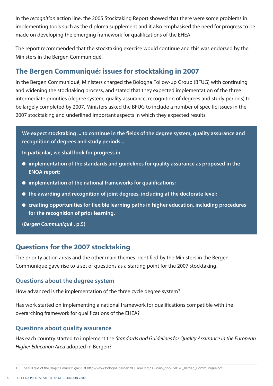In the *recognition* action line, the 2005 Stocktaking Report showed that there were some problems in implementing tools such as the diploma supplement and it also emphasised the need for progress to be made on developing the emerging framework for qualifications of the EHEA.

The report recommended that the stocktaking exercise would continue and this was endorsed by the Ministers in the Bergen Communiqué.

#### **The Bergen Communiqué: issues for stocktaking in 2007**

In the Bergen Communiqué, Ministers charged the Bologna Follow-up Group (BFUG) with continuing and widening the stocktaking process, and stated that they expected implementation of the three intermediate priorities (degree system, quality assurance, recognition of degrees and study periods) to be largely completed by 2007. Ministers asked the BFUG to include a number of specific issues in the 2007 stocktaking and underlined important aspects in which they expected results.

**We expect stocktaking ... to continue in the fields of the degree system, quality assurance and recognition of degrees and study periods....**

**In particular, we shall look for progress in** 

- **● implementation of the standards and guidelines for quality assurance as proposed in the ENQA report;**
- **● implementation of the national frameworks for qualifications;**
- **● the awarding and recognition of joint degrees, including at the doctorate level;**
- **● creating opportunities for flexible learning paths in higher education, including procedures for the recognition of prior learning.**

**(***Bergen Communiqué***<sup>1</sup> , p.5)**

#### **Questions for the 2007 stocktaking**

The priority action areas and the other main themes identified by the Ministers in the Bergen Communiqué gave rise to a set of questions as a starting point for the 2007 stocktaking.

#### **Questions about the degree system**

How advanced is the implementation of the three cycle degree system?

Has work started on implementing a national framework for qualifications compatible with the overarching framework for qualifications of the EHEA?

#### **Questions about quality assurance**

Has each country started to implement the *Standards and Guidelines for Quality Assurance in the European Higher Education Area* adopted in Bergen?

<sup>1</sup> The full text of the *Bergen Communiqué* is at http://www.bologna-bergen2005.no/Docs/00-Main\_doc/050520\_Bergen\_Communique.pdf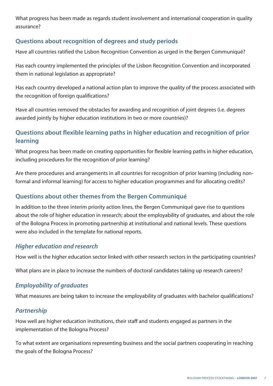What progress has been made as regards student involvement and international cooperation in quality assurance?

#### **Questions about recognition of degrees and study periods**

Have all countries ratified the Lisbon Recognition Convention as urged in the Bergen Communiqué?

Has each country implemented the principles of the Lisbon Recognition Convention and incorporated them in national legislation as appropriate?

Has each country developed a national action plan to improve the quality of the process associated with the recognition of foreign qualifications?

Have all countries removed the obstacles for awarding and recognition of joint degrees (i.e. degrees awarded jointly by higher education institutions in two or more countries)?

#### **Questions about flexible learning paths in higher education and recognition of prior learning**

What progress has been made on creating opportunities for flexible learning paths in higher education, including procedures for the recognition of prior learning?

Are there procedures and arrangements in all countries for recognition of prior learning (including nonformal and informal learning) for access to higher education programmes and for allocating credits?

#### **Questions about other themes from the Bergen Communiqué**

In addition to the three interim priority action lines, the Bergen Communiqué gave rise to questions about the role of higher education in research; about the employability of graduates, and about the role of the Bologna Process in promoting partnership at institutional and national levels. These questions were also included in the template for national reports.

#### *Higher education and research*

How well is the higher education sector linked with other research sectors in the participating countries?

What plans are in place to increase the numbers of doctoral candidates taking up research careers?

#### *Employability of graduates*

What measures are being taken to increase the employability of graduates with bachelor qualifications?

#### *Partnership*

How well are higher education institutions, their staff and students engaged as partners in the implementation of the Bologna Process?

To what extent are organisations representing business and the social partners cooperating in reaching the goals of the Bologna Process?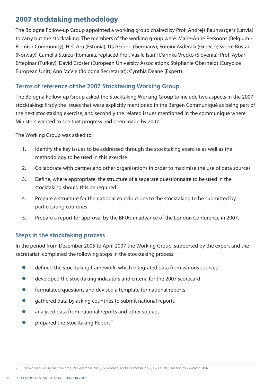#### **2007 stocktaking methodology**

The Bologna Follow-up Group appointed a working group chaired by Prof. Andrejs Rauhvargers (Latvia) to carry out the stocktaking. The members of the working group were: Marie-Anne Persoons (Belgium - Flemish Community); Heli Aru (Estonia); Uta Grund (Germany); Foteini Asderaki (Greece); Sverre Rustad (Norway); Camelia Sturza (Romania, replaced Prof. Vasile Isan); Darinka Vrecko (Slovenia); Prof. Aybar Ertepinar (Turkey); David Crosier (European University Association); Stéphanie Oberheidt (Eurydice European Unit); Ann McVie (Bologna Secretariat); Cynthia Deane (Expert).

#### **Terms of reference of the 2007 Stocktaking Working Group**

The Bologna Follow-up Group asked the Stocktaking Working Group to include two aspects in the 2007 stocktaking: firstly the issues that were explicitly mentioned in the Bergen Communiqué as being part of the next stocktaking exercise, and secondly the related issues mentioned in the communiqué where Ministers wanted to see that progress had been made by 2007.

The Working Group was asked to:

- 1. Identify the key issues to be addressed through the stocktaking exercise as well as the methodology to be used in this exercise
- 2. Collaborate with partner and other organisations in order to maximise the use of data sources
- 3. Define, where appropriate, the structure of a separate questionnaire to be used in the stocktaking should this be required
- 4. Prepare a structure for the national contributions to the stocktaking to be submitted by participating countries
- 5. Prepare a report for approval by the BFUG in advance of the London Conference in 2007.

#### **Steps in the stocktaking process**

In the period from December 2005 to April 2007 the Working Group, supported by the expert and the secretariat, completed the following steps in the stocktaking process:

- **●** defined the stocktaking framework, which integrated data from various sources
- **●** developed the stocktaking indicators and criteria for the 2007 scorecard
- **●** formulated questions and devised a template for national reports
- **●** gathered data by asking countries to submit national reports
- **●** analysed data from national reports and other sources
- prepared the Stocktaking Report.<sup>2</sup>

<sup>2</sup> The Working Group met five times: 9 December 2005; 27 February and 11 October 2006; 12-13 February and 26-27 March 2007.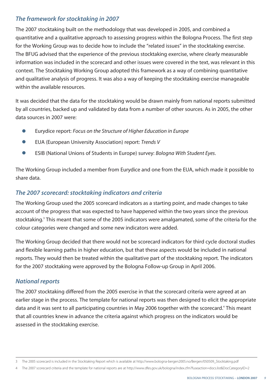#### *The framework for stocktaking in 2007*

The 2007 stocktaking built on the methodology that was developed in 2005, and combined a quantitative and a qualitative approach to assessing progress within the Bologna Process. The first step for the Working Group was to decide how to include the "related issues" in the stocktaking exercise. The BFUG advised that the experience of the previous stocktaking exercise, where clearly measurable information was included in the scorecard and other issues were covered in the text, was relevant in this context. The Stocktaking Working Group adopted this framework as a way of combining quantitative and qualitative analysis of progress. It was also a way of keeping the stocktaking exercise manageable within the available resources.

It was decided that the data for the stocktaking would be drawn mainly from national reports submitted by all countries, backed up and validated by data from a number of other sources. As in 2005, the other data sources in 2007 were:

- **●** Eurydice report: *Focus on the Structure of Higher Education in Europe*
- **●** EUA (European University Association) report: *Trends V*
- **●** ESIB (National Unions of Students in Europe) survey: *Bologna With Student Eyes*.

The Working Group included a member from Eurydice and one from the EUA, which made it possible to share data.

#### *The 2007 scorecard: stocktaking indicators and criteria*

The Working Group used the 2005 scorecard indicators as a starting point, and made changes to take account of the progress that was expected to have happened within the two years since the previous stocktaking.<sup>3</sup> This meant that some of the 2005 indicators were amalgamated, some of the criteria for the colour categories were changed and some new indicators were added.

The Working Group decided that there would not be scorecard indicators for third cycle doctoral studies and flexible learning paths in higher education, but that these aspects would be included in national reports. They would then be treated within the qualitative part of the stocktaking report. The indicators for the 2007 stocktaking were approved by the Bologna Follow-up Group in April 2006.

#### *National reports*

The 2007 stocktaking differed from the 2005 exercise in that the scorecard criteria were agreed at an earlier stage in the process. The template for national reports was then designed to elicit the appropriate data and it was sent to all participating countries in May 2006 together with the scorecard.<sup>4</sup> This meant that all countries knew in advance the criteria against which progress on the indicators would be assessed in the stocktaking exercise.

<sup>3</sup> The 2005 scorecard is included in the Stocktaking Report which is available at http://www.bologna-bergen2005.no/Bergen/050509\_Stocktaking.pdf

<sup>4</sup> The 2007 scorecard criteria and the template for national reports are at http://www.dfes.gov.uk/bologna/index.cfm?fuseaction=docs.list&DocCategoryID=2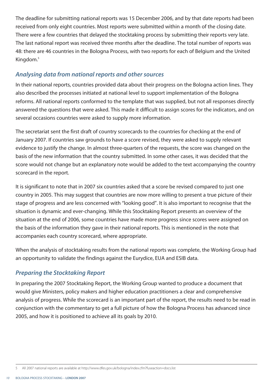The deadline for submitting national reports was 15 December 2006, and by that date reports had been received from only eight countries. Most reports were submitted within a month of the closing date. There were a few countries that delayed the stocktaking process by submitting their reports very late. The last national report was received three months after the deadline. The total number of reports was 48: there are 46 countries in the Bologna Process, with two reports for each of Belgium and the United Kingdom.<sup>5</sup>

#### *Analysing data from national reports and other sources*

In their national reports, countries provided data about their progress on the Bologna action lines. They also described the processes initiated at national level to support implementation of the Bologna reforms. All national reports conformed to the template that was supplied, but not all responses directly answered the questions that were asked. This made it difficult to assign scores for the indicators, and on several occasions countries were asked to supply more information.

The secretariat sent the first draft of country scorecards to the countries for checking at the end of January 2007. If countries saw grounds to have a score revised, they were asked to supply relevant evidence to justify the change. In almost three-quarters of the requests, the score was changed on the basis of the new information that the country submitted. In some other cases, it was decided that the score would not change but an explanatory note would be added to the text accompanying the country scorecard in the report.

It is significant to note that in 2007 six countries asked that a score be revised compared to just one country in 2005. This may suggest that countries are now more willing to present a true picture of their stage of progress and are less concerned with "looking good". It is also important to recognise that the situation is dynamic and ever-changing. While this Stocktaking Report presents an overview of the situation at the end of 2006, some countries have made more progress since scores were assigned on the basis of the information they gave in their national reports. This is mentioned in the note that accompanies each country scorecard, where appropriate.

When the analysis of stocktaking results from the national reports was complete, the Working Group had an opportunity to validate the findings against the Eurydice, EUA and ESIB data.

#### *Preparing the Stocktaking Report*

In preparing the 2007 Stocktaking Report, the Working Group wanted to produce a document that would give Ministers, policy makers and higher education practitioners a clear and comprehensive analysis of progress. While the scorecard is an important part of the report, the results need to be read in conjunction with the commentary to get a full picture of how the Bologna Process has advanced since 2005, and how it is positioned to achieve all its goals by 2010.

<sup>5</sup> All 2007 national reports are available at http://www.dfes.gov.uk/bologna/index.cfm?fuseaction=docs.list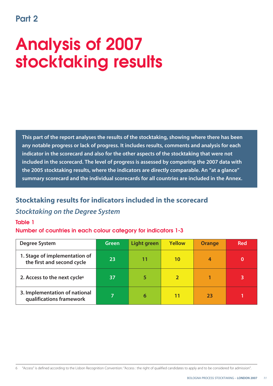### **Part 2**

## **Analysis of 2007 stocktaking results**

**This part of the report analyses the results of the stocktaking, showing where there has been any notable progress or lack of progress. It includes results, comments and analysis for each indicator in the scorecard and also for the other aspects of the stocktaking that were not included in the scorecard. The level of progress is assessed by comparing the 2007 data with the 2005 stocktaking results, where the indicators are directly comparable. An "at a glance" summary scorecard and the individual scorecards for all countries are included in the Annex.**

#### **Stocktaking results for indicators included in the scorecard**

#### *Stocktaking on the Degree System*

#### **Table 1**

#### **Number of countries in each colour category for indicators 1-3**

| <b>Degree System</b>                                        | Green | Light green | <b>Yellow</b> | <b>Orange</b> | <b>Red</b> |
|-------------------------------------------------------------|-------|-------------|---------------|---------------|------------|
| 1. Stage of implementation of<br>the first and second cycle | 23    | 11          | 10            | 4             |            |
| 2. Access to the next cycle <sup>6</sup>                    | 37    | 5           |               |               | 3          |
| 3. Implementation of national<br>qualifications framework   |       | 6           | 11            | 23            |            |

6 "Access" is defined according to the Lisbon Recognition Convention: "Access : the right of qualified candidates to apply and to be considered for admission".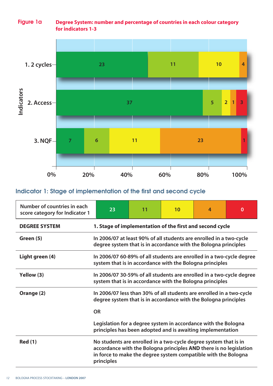#### **Figure 1a Degree System: number and percentage of countries in each colour category or indicators 1-3**



#### **Indicator 1: Stage of implementation of the first and second cycle**

| Number of countries in each<br>score category for Indicator 1 | 23                                                                                                                                                                                                                     | 11 | 10 | 4 | $\bf{0}$ |  |  |
|---------------------------------------------------------------|------------------------------------------------------------------------------------------------------------------------------------------------------------------------------------------------------------------------|----|----|---|----------|--|--|
| <b>DEGREE SYSTEM</b>                                          | 1. Stage of implementation of the first and second cycle                                                                                                                                                               |    |    |   |          |  |  |
| Green (5)                                                     | In 2006/07 at least 90% of all students are enrolled in a two-cycle<br>degree system that is in accordance with the Bologna principles                                                                                 |    |    |   |          |  |  |
| Light green (4)                                               | In 2006/07 60-89% of all students are enrolled in a two-cycle degree<br>system that is in accordance with the Bologna principles                                                                                       |    |    |   |          |  |  |
| Yellow (3)                                                    | In 2006/07 30-59% of all students are enrolled in a two-cycle degree<br>system that is in accordance with the Bologna principles                                                                                       |    |    |   |          |  |  |
| Orange (2)                                                    | In 2006/07 less than 30% of all students are enrolled in a two-cycle<br>degree system that is in accordance with the Bologna principles<br><b>OR</b>                                                                   |    |    |   |          |  |  |
|                                                               | Legislation for a degree system in accordance with the Bologna<br>principles has been adopted and is awaiting implementation                                                                                           |    |    |   |          |  |  |
| <b>Red (1)</b>                                                | No students are enrolled in a two-cycle degree system that is in<br>accordance with the Bologna principles AND there is no legislation<br>in force to make the degree system compatible with the Bologna<br>principles |    |    |   |          |  |  |

*12* BOLOGNA PROCESS STOCKTAKING – **LONDON 2007**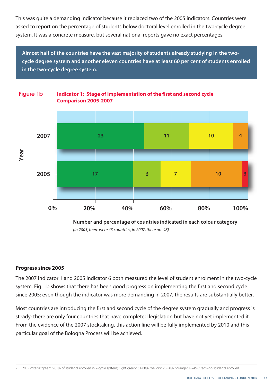This was quite a demanding indicator because it replaced two of the 2005 indicators. Countries were asked to report on the percentage of students below doctoral level enrolled in the two-cycle degree system. It was a concrete measure, but several national reports gave no exact percentages.

**Almost half of the countries have the vast majority of students already studying in the twocycle degree system and another eleven countries have at least 60 per cent of students enrolled in the two-cycle degree system.** 

**ndicator 1: Stage of implementation of the first and second cycle**



*(In 2005, there were 43 countries; in 2007, there are 48)*

#### **Progress since 2005**

**Figure 1b**

The 2007 indicator 1 and 2005 indicator 6 both measured the level of student enrolment in the two-cycle system. Fig. 1b shows that there has been good progress on implementing the first and second cycle since 2005: even though the indicator was more demanding in 2007, the results are substantially better.

Most countries are introducing the first and second cycle of the degree system gradually and progress is steady: there are only four countries that have completed legislation but have not yet implemented it. From the evidence of the 2007 stocktaking, this action line will be fully implemented by 2010 and this particular goal of the Bologna Process will be achieved.

7 2005 criteria:"green" >81% of students enrolled in 2-cycle system; "light green" 51-80%; "yellow" 25-50%; "orange" 1-24%; "red"=no students enrolled.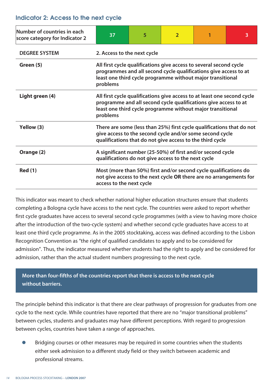#### **Indicator 2: Access to the next cycle**

| Number of countries in each<br>score category for Indicator 2 | 37                                                                                                                                                                                                                   | 5 | $\overline{2}$ |  | 3 |  |  |
|---------------------------------------------------------------|----------------------------------------------------------------------------------------------------------------------------------------------------------------------------------------------------------------------|---|----------------|--|---|--|--|
| <b>DEGREE SYSTEM</b>                                          | 2. Access to the next cycle                                                                                                                                                                                          |   |                |  |   |  |  |
| Green (5)                                                     | All first cycle qualifications give access to several second cycle<br>programmes and all second cycle qualifications give access to at<br>least one third cycle programme without major transitional<br>problems     |   |                |  |   |  |  |
| Light green (4)                                               | All first cycle qualifications give access to at least one second cycle<br>programme and all second cycle qualifications give access to at<br>least one third cycle programme without major transitional<br>problems |   |                |  |   |  |  |
| Yellow (3)                                                    | There are some (less than 25%) first cycle qualifications that do not<br>give access to the second cycle and/or some second cycle<br>qualifications that do not give access to the third cycle                       |   |                |  |   |  |  |
| Orange (2)                                                    | A significant number (25-50%) of first and/or second cycle<br>qualifications do not give access to the next cycle                                                                                                    |   |                |  |   |  |  |
| <b>Red (1)</b>                                                | Most (more than 50%) first and/or second cycle qualifications do<br>not give access to the next cycle OR there are no arrangements for<br>access to the next cycle                                                   |   |                |  |   |  |  |

This indicator was meant to check whether national higher education structures ensure that students completing a Bologna cycle have access to the next cycle. The countries were asked to report whether first cycle graduates have access to several second cycle programmes (with a view to having more choice after the introduction of the two-cycle system) and whether second cycle graduates have access to at least one third cycle programme. As in the 2005 stocktaking, access was defined according to the Lisbon Recognition Convention as "the right of qualified candidates to apply and to be considered for admission". Thus, the indicator measured whether students had the right to apply and be considered for admission, rather than the actual student numbers progressing to the next cycle.

#### **More than four-fifths of the countries report that there is access to the next cycle without barriers.**

The principle behind this indicator is that there are clear pathways of progression for graduates from one cycle to the next cycle. While countries have reported that there are no "major transitional problems" between cycles, students and graduates may have different perceptions. With regard to progression between cycles, countries have taken a range of approaches.

Bridging courses or other measures may be required in some countries when the students either seek admission to a different study field or they switch between academic and professional streams.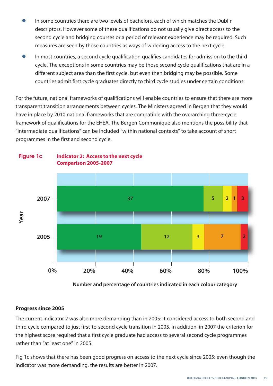- **●** In some countries there are two levels of bachelors, each of which matches the Dublin descriptors. However some of these qualifications do not usually give direct access to the second cycle and bridging courses or a period of relevant experience may be required. Such measures are seen by those countries as ways of widening access to the next cycle.
- In most countries, a second cycle qualification qualifies candidates for admission to the third cycle. The exceptions in some countries may be those second cycle qualifications that are in a different subject area than the first cycle, but even then bridging may be possible. Some countries admit first cycle graduates directly to third cycle studies under certain conditions.

For the future, national frameworks of qualifications will enable countries to ensure that there are more transparent transition arrangements between cycles. The Ministers agreed in Bergen that they would have in place by 2010 national frameworks that are compatible with the overarching three-cycle framework of qualifications for the EHEA. The Bergen Communiqué also mentions the possibility that "intermediate qualifications" can be included "within national contexts" to take account of short programmes in the first and second cycle.



#### **Figure 1c Indicator 2: Access to the next cycle Comparison 2005-2007**

 **Number and percentage of countries indicated in each colour category**

#### **Progress since 2005**

The current indicator 2 was also more demanding than in 2005: it considered access to both second and third cycle compared to just first-to-second cycle transition in 2005. In addition, in 2007 the criterion for the highest score required that a first cycle graduate had access to several second cycle programmes rather than "at least one" in 2005.

Fig 1c shows that there has been good progress on access to the next cycle since 2005: even though the indicator was more demanding, the results are better in 2007.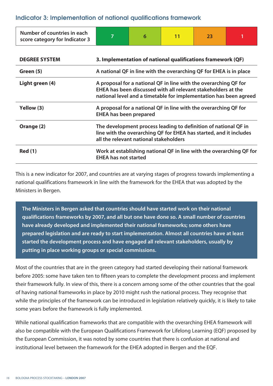#### **Indicator 3: Implementation of national qualifications framework**

| Number of countries in each<br>score category for Indicator 3 | 7                                                                                                                                                                                                      | 6 | 11 | 23 |  |  |  |  |
|---------------------------------------------------------------|--------------------------------------------------------------------------------------------------------------------------------------------------------------------------------------------------------|---|----|----|--|--|--|--|
| <b>DEGREE SYSTEM</b>                                          | 3. Implementation of national qualifications framework (QF)                                                                                                                                            |   |    |    |  |  |  |  |
| Green (5)                                                     | A national QF in line with the overarching QF for EHEA is in place                                                                                                                                     |   |    |    |  |  |  |  |
| Light green (4)                                               | A proposal for a national QF in line with the overarching QF for<br>EHEA has been discussed with all relevant stakeholders at the<br>national level and a timetable for implementation has been agreed |   |    |    |  |  |  |  |
| Yellow (3)                                                    | A proposal for a national QF in line with the overarching QF for<br><b>EHEA has been prepared</b>                                                                                                      |   |    |    |  |  |  |  |
| Orange (2)                                                    | The development process leading to definition of national QF in<br>line with the overarching QF for EHEA has started, and it includes<br>all the relevant national stakeholders                        |   |    |    |  |  |  |  |
| <b>Red (1)</b>                                                | Work at establishing national QF in line with the overarching QF for<br><b>EHEA has not started</b>                                                                                                    |   |    |    |  |  |  |  |

This is a new indicator for 2007, and countries are at varying stages of progress towards implementing a national qualifications framework in line with the framework for the EHEA that was adopted by the Ministers in Bergen.

**The Ministers in Bergen asked that countries should have started work on their national qualifications frameworks by 2007, and all but one have done so. A small number of countries have already developed and implemented their national frameworks; some others have prepared legislation and are ready to start implementation. Almost all countries have at least started the development process and have engaged all relevant stakeholders, usually by putting in place working groups or special commissions.**

Most of the countries that are in the green category had started developing their national framework before 2005: some have taken ten to fifteen years to complete the development process and implement their framework fully. In view of this, there is a concern among some of the other countries that the goal of having national frameworks in place by 2010 might rush the national process. They recognise that while the principles of the framework can be introduced in legislation relatively quickly, it is likely to take some years before the framework is fully implemented.

While national qualification frameworks that are compatible with the overarching EHEA framework will also be compatible with the European Qualifications Framework for Lifelong Learning (EQF) proposed by the European Commission, it was noted by some countries that there is confusion at national and institutional level between the framework for the EHEA adopted in Bergen and the EQF.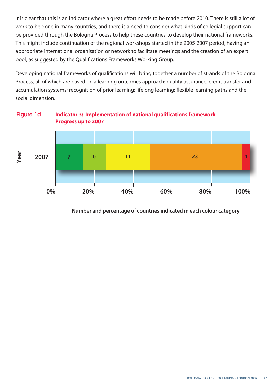It is clear that this is an indicator where a great effort needs to be made before 2010. There is still a lot of work to be done in many countries, and there is a need to consider what kinds of collegial support can be provided through the Bologna Process to help these countries to develop their national frameworks. This might include continuation of the regional workshops started in the 2005-2007 period, having an appropriate international organisation or network to facilitate meetings and the creation of an expert pool, as suggested by the Qualifications Frameworks Working Group.

Developing national frameworks of qualifications will bring together a number of strands of the Bologna Process, all of which are based on a learning outcomes approach: quality assurance; credit transfer and accumulation systems; recognition of prior learning; lifelong learning; flexible learning paths and the social dimension.



 **Number and percentage of countries indicated in each colour category**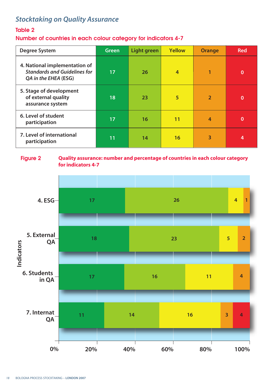### *Stocktaking on Quality Assurance*

#### **Table 2**

#### **Number of countries in each colour category for indicators 4-7**

| <b>Degree System</b>                                                                         | <b>Green</b> | <b>Light green</b> | <b>Yellow</b> | <b>Orange</b>  | <b>Red</b> |
|----------------------------------------------------------------------------------------------|--------------|--------------------|---------------|----------------|------------|
| 4. National implementation of<br><b>Standards and Guidelines for</b><br>QA in the EHEA (ESG) | 17           | 26                 | 4             | 1              | $\bf{0}$   |
| 5. Stage of development<br>of external quality<br>assurance system                           | 18           | 23                 | 5             | $\overline{2}$ | $\bf{0}$   |
| 6. Level of student<br>participation                                                         | 17           | 16                 | 11            | 4              | 0          |
| 7. Level of international<br>participation                                                   | 11           | 14                 | 16            | 3              | 4          |

#### **Figure 2 Quality assurance: number and percentage of countries in each colour category for indicators 4-7**

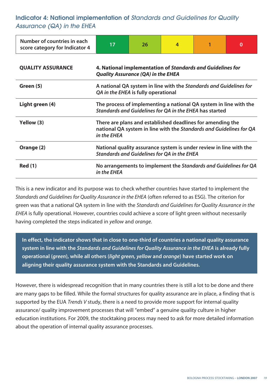**Indicator 4: National implementation of** *Standards and Guidelines for Quality Assurance (QA) in the EHEA*

| Number of countries in each<br>score category for Indicator 4 | 17                                                                                                                                               | 26 | 4 | 1 | 0 |  |  |
|---------------------------------------------------------------|--------------------------------------------------------------------------------------------------------------------------------------------------|----|---|---|---|--|--|
| <b>QUALITY ASSURANCE</b>                                      | 4. National implementation of Standards and Guidelines for<br><b>Quality Assurance (QA) in the EHEA</b>                                          |    |   |   |   |  |  |
| Green (5)                                                     | A national QA system in line with the Standards and Guidelines for<br>QA in the EHEA is fully operational                                        |    |   |   |   |  |  |
| Light green (4)                                               | The process of implementing a national QA system in line with the<br>Standards and Guidelines for QA in the EHEA has started                     |    |   |   |   |  |  |
| Yellow (3)                                                    | There are plans and established deadlines for amending the<br>national QA system in line with the Standards and Guidelines for QA<br>in the EHEA |    |   |   |   |  |  |
| Orange (2)                                                    | National quality assurance system is under review in line with the<br><b>Standards and Guidelines for QA in the EHEA</b>                         |    |   |   |   |  |  |
| <b>Red (1)</b>                                                | No arrangements to implement the Standards and Guidelines for QA<br>in the EHEA                                                                  |    |   |   |   |  |  |

This is a new indicator and its purpose was to check whether countries have started to implement the *Standards and Guidelines for Quality Assurance in the EHEA* (often referred to as ESG). The criterion for green was that a national QA system in line with the *Standards and Guidelines for Quality Assurance in the EHEA* is fully operational. However, countries could achieve a score of light green without necessarily having completed the steps indicated in *yellow* and *orange*.

**In effect, the indicator shows that in close to one-third of countries a national quality assurance system in line with the** *Standards and Guidelines for Quality Assurance in the EHEA* **is already fully operational (***green***), while all others (***light green, yellow* **and** *orange***) have started work on aligning their quality assurance system with the Standards and Guidelines.** 

However, there is widespread recognition that in many countries there is still a lot to be done and there are many gaps to be filled. While the formal structures for quality assurance are in place, a finding that is supported by the EUA *Trends V* study, there is a need to provide more support for internal quality assurance/ quality improvement processes that will "embed" a genuine quality culture in higher education institutions. For 2009, the stocktaking process may need to ask for more detailed information about the operation of internal quality assurance processes.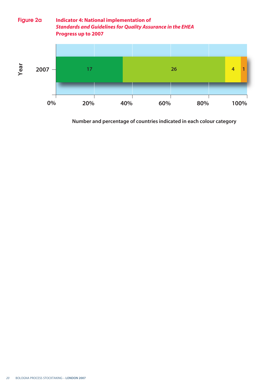

**Number and percentage of countries indicated in each colour category**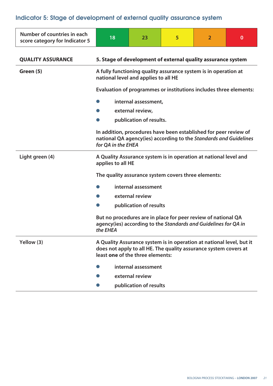### **Indicator 5: Stage of development of external quality assurance system**

| Number of countries in each<br>score category for Indicator 5 | 18                                                                                                                                                                           | 23                                                                                                                               | 5 | $\overline{2}$ | $\mathbf{0}$ |  |  |  |
|---------------------------------------------------------------|------------------------------------------------------------------------------------------------------------------------------------------------------------------------------|----------------------------------------------------------------------------------------------------------------------------------|---|----------------|--------------|--|--|--|
| <b>QUALITY ASSURANCE</b>                                      |                                                                                                                                                                              | 5. Stage of development of external quality assurance system                                                                     |   |                |              |  |  |  |
| Green (5)                                                     |                                                                                                                                                                              | A fully functioning quality assurance system is in operation at<br>national level and applies to all HE                          |   |                |              |  |  |  |
|                                                               | Evaluation of programmes or institutions includes three elements:                                                                                                            |                                                                                                                                  |   |                |              |  |  |  |
|                                                               | internal assessment,                                                                                                                                                         |                                                                                                                                  |   |                |              |  |  |  |
|                                                               | external review,                                                                                                                                                             |                                                                                                                                  |   |                |              |  |  |  |
|                                                               | publication of results.                                                                                                                                                      |                                                                                                                                  |   |                |              |  |  |  |
|                                                               | In addition, procedures have been established for peer review of<br>national QA agency(ies) according to the Standards and Guidelines<br>for QA in the EHEA                  |                                                                                                                                  |   |                |              |  |  |  |
| Light green (4)                                               | A Quality Assurance system is in operation at national level and<br>applies to all HE                                                                                        |                                                                                                                                  |   |                |              |  |  |  |
|                                                               | The quality assurance system covers three elements:                                                                                                                          |                                                                                                                                  |   |                |              |  |  |  |
|                                                               |                                                                                                                                                                              | internal assessment                                                                                                              |   |                |              |  |  |  |
|                                                               |                                                                                                                                                                              | external review                                                                                                                  |   |                |              |  |  |  |
|                                                               |                                                                                                                                                                              | publication of results                                                                                                           |   |                |              |  |  |  |
|                                                               |                                                                                                                                                                              | But no procedures are in place for peer review of national QA<br>agency(ies) according to the Standards and Guidelines for QA in |   |                |              |  |  |  |
| Yellow (3)                                                    | A Quality Assurance system is in operation at national level, but it<br>does not apply to all HE. The quality assurance system covers at<br>least one of the three elements: |                                                                                                                                  |   |                |              |  |  |  |
|                                                               |                                                                                                                                                                              | internal assessment                                                                                                              |   |                |              |  |  |  |
|                                                               |                                                                                                                                                                              | external review                                                                                                                  |   |                |              |  |  |  |
|                                                               |                                                                                                                                                                              | publication of results                                                                                                           |   |                |              |  |  |  |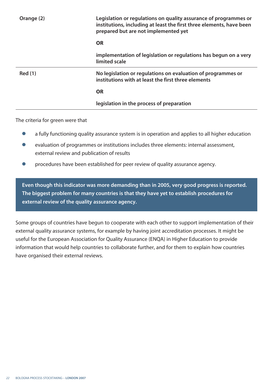| Orange (2)     | Legislation or regulations on quality assurance of programmes or<br>institutions, including at least the first three elements, have been<br>prepared but are not implemented yet |
|----------------|----------------------------------------------------------------------------------------------------------------------------------------------------------------------------------|
|                | <b>OR</b>                                                                                                                                                                        |
|                | implementation of legislation or regulations has begun on a very<br>limited scale                                                                                                |
| <b>Red</b> (1) | No legislation or regulations on evaluation of programmes or<br>institutions with at least the first three elements                                                              |
|                | <b>OR</b>                                                                                                                                                                        |
|                | legislation in the process of preparation                                                                                                                                        |
|                |                                                                                                                                                                                  |

The criteria for green were that

- **●** a fully functioning quality assurance system is in operation and applies to all higher education
- evaluation of programmes or institutions includes three elements: internal assessment, external review and publication of results
- **●** procedures have been established for peer review of quality assurance agency.

**Even though this indicator was more demanding than in 2005, very good progress is reported. The biggest problem for many countries is that they have yet to establish procedures for external review of the quality assurance agency.** 

Some groups of countries have begun to cooperate with each other to support implementation of their external quality assurance systems, for example by having joint accreditation processes. It might be useful for the European Association for Quality Assurance (ENQA) in Higher Education to provide information that would help countries to collaborate further, and for them to explain how countries have organised their external reviews.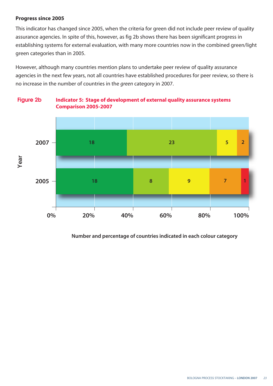#### **Progress since 2005**

This indicator has changed since 2005, when the criteria for green did not include peer review of quality assurance agencies. In spite of this, however, as fig 2b shows there has been significant progress in establishing systems for external evaluation, with many more countries now in the combined green/light green categories than in 2005.

However, although many countries mention plans to undertake peer review of quality assurance agencies in the next few years, not all countries have established procedures for peer review, so there is no increase in the number of countries in the *green* category in 2007.



**Figure 2b Indicator 5: Stage of development of external quality assurance systems Comparison 2005-2007**

 **Number and percentage of countries indicated in each colour category**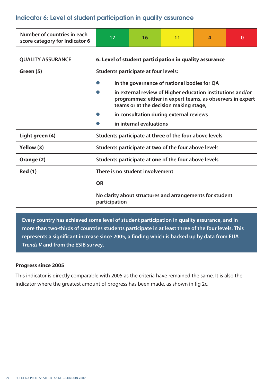#### **Indicator 6: Level of student participation in quality assurance**

| Number of countries in each<br>score category for Indicator 6 | 17                                                                                                                                                                 | 16                                      | 11 | $\overline{4}$ | $\Omega$ |  |  |
|---------------------------------------------------------------|--------------------------------------------------------------------------------------------------------------------------------------------------------------------|-----------------------------------------|----|----------------|----------|--|--|
| <b>QUALITY ASSURANCE</b>                                      | 6. Level of student participation in quality assurance                                                                                                             |                                         |    |                |          |  |  |
| Green (5)                                                     | <b>Students participate at four levels:</b>                                                                                                                        |                                         |    |                |          |  |  |
|                                                               | in the governance of national bodies for QA                                                                                                                        |                                         |    |                |          |  |  |
|                                                               | in external review of Higher education institutions and/or<br>programmes: either in expert teams, as observers in expert<br>teams or at the decision making stage, |                                         |    |                |          |  |  |
|                                                               |                                                                                                                                                                    | in consultation during external reviews |    |                |          |  |  |
|                                                               |                                                                                                                                                                    | in internal evaluations                 |    |                |          |  |  |
| Light green (4)                                               | Students participate at three of the four above levels                                                                                                             |                                         |    |                |          |  |  |
| Yellow (3)                                                    | Students participate at two of the four above levels                                                                                                               |                                         |    |                |          |  |  |
| Orange (2)                                                    | Students participate at one of the four above levels                                                                                                               |                                         |    |                |          |  |  |
| <b>Red (1)</b>                                                | There is no student involvement                                                                                                                                    |                                         |    |                |          |  |  |
|                                                               | <b>OR</b>                                                                                                                                                          |                                         |    |                |          |  |  |
|                                                               | No clarity about structures and arrangements for student<br>participation                                                                                          |                                         |    |                |          |  |  |

**Every country has achieved some level of student participation in quality assurance, and in more than two-thirds of countries students participate in at least three of the four levels. This represents a significant increase since 2005, a finding which is backed up by data from EUA** *Trends V* **and from the ESIB survey.** 

#### **Progress since 2005**

This indicator is directly comparable with 2005 as the criteria have remained the same. It is also the indicator where the greatest amount of progress has been made, as shown in fig 2c.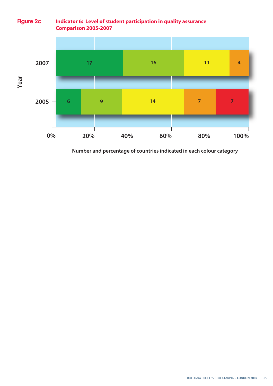#### **Figure 2c ndicator 6: Level of student participation in quality assurance Comparison 2005-2007**



**N mber and percentage of countries indicated in each colour category**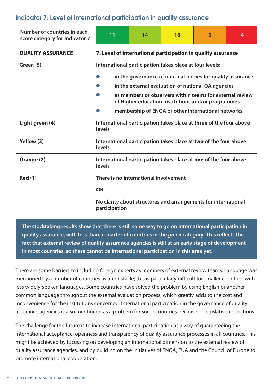#### **Indicator 7: Level of international participation in quality assurance**

| Number of countries in each<br>score category for Indicator 7 | 11                                                                                                                                                                                                                                 | 14                                                           | 16 | 3                                                                | 4 |  |  |  |
|---------------------------------------------------------------|------------------------------------------------------------------------------------------------------------------------------------------------------------------------------------------------------------------------------------|--------------------------------------------------------------|----|------------------------------------------------------------------|---|--|--|--|
| <b>QUALITY ASSURANCE</b>                                      |                                                                                                                                                                                                                                    | 7. Level of international participation in quality assurance |    |                                                                  |   |  |  |  |
| Green (5)                                                     |                                                                                                                                                                                                                                    | International participation takes place at four levels:      |    |                                                                  |   |  |  |  |
|                                                               | in the governance of national bodies for quality assurance<br>in the external evaluation of national QA agencies<br>as members or observers within teams for external review<br>of Higher education institutions and/or programmes |                                                              |    |                                                                  |   |  |  |  |
|                                                               |                                                                                                                                                                                                                                    |                                                              |    | membership of ENQA or other international networks               |   |  |  |  |
| Light green (4)                                               | International participation takes place at three of the four above<br>levels                                                                                                                                                       |                                                              |    |                                                                  |   |  |  |  |
| Yellow (3)                                                    | levels                                                                                                                                                                                                                             |                                                              |    | International participation takes place at two of the four above |   |  |  |  |
| Orange (2)                                                    | levels                                                                                                                                                                                                                             |                                                              |    | International participation takes place at one of the four above |   |  |  |  |
| <b>Red (1)</b>                                                |                                                                                                                                                                                                                                    | There is no international involvement                        |    |                                                                  |   |  |  |  |
|                                                               | <b>OR</b>                                                                                                                                                                                                                          |                                                              |    |                                                                  |   |  |  |  |
|                                                               | No clarity about structures and arrangements for international<br>participation                                                                                                                                                    |                                                              |    |                                                                  |   |  |  |  |

**The stocktaking results show that there is still some way to go on international participation in quality assurance, with less than a quarter of countries in the** *green* **category. This reflects the fact that external review of quality assurance agencies is still at an early stage of development in most countries, so there cannot be international participation in this area yet.** 

There are some barriers to including foreign experts as members of external review teams. Language was mentioned by a number of countries as an obstacle; this is particularly difficult for smaller countries with less widely-spoken languages. Some countries have solved the problem by using English or another common language throughout the external evaluation process, which greatly adds to the cost and inconvenience for the institutions concerned. International participation in the governance of quality assurance agencies is also mentioned as a problem for some countries because of legislative restrictions.

The challenge for the future is to increase international participation as a way of guaranteeing the international acceptance, openness and transparency of quality assurance processes in all countries. This might be achieved by focussing on developing an international dimension to the external review of quality assurance agencies, and by building on the initiatives of ENQA, EUA and the Council of Europe to promote international cooperation.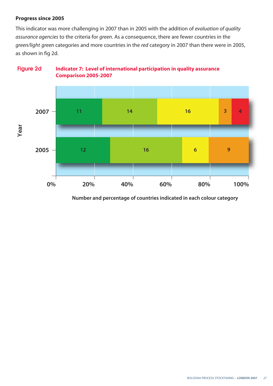#### **Progress since 2005**

This indicator was more challenging in 2007 than in 2005 with the addition of *evaluation of quality assurance agencies* to the criteria for *green*. As a consequence, there are fewer countries in the *green/light green* categories and more countries in the *red* category in 2007 than there were in 2005, as shown in fig 2d.



#### **Figure 2d ndicator 7: Level of international participation in quality assurance Comparison 2005-2007**

 **Number and percentage of countries indicated in each colour category**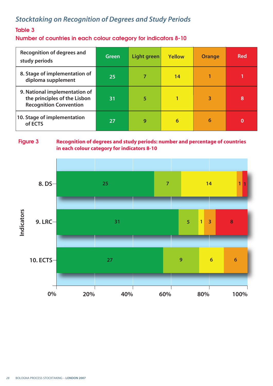### *Stocktaking on Recognition of Degrees and Study Periods*

#### **Table 3**

**Number of countries in each colour category for indicators 8-10**

| <b>Recognition of degrees and</b><br>study periods                                             | Green | <b>Light green</b> | <b>Yellow</b> | <b>Orange</b> | <b>Red</b> |
|------------------------------------------------------------------------------------------------|-------|--------------------|---------------|---------------|------------|
| 8. Stage of implementation of<br>diploma supplement                                            | 25    |                    | 14            |               |            |
| 9. National implementation of<br>the principles of the Lisbon<br><b>Recognition Convention</b> | 31    | 5                  |               | 3             | 8          |
| 10. Stage of implementation<br>of ECTS                                                         | 27    | 9                  | 6             | 6             | 0          |

#### **Figure 3**

#### **Recognition of degrees and study periods: number and percentage of countries in each colour category for indicators 8-10**

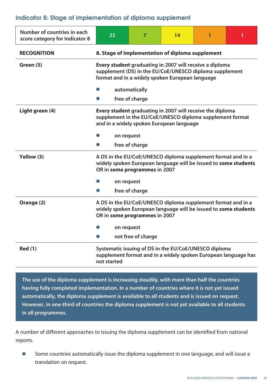#### **Indicator 8: Stage of implementation of diploma supplement**

| Number of countries in each<br>score category for Indicator 8 | 25                                                                                                                                                                    | 7                  | 14 |  |  |
|---------------------------------------------------------------|-----------------------------------------------------------------------------------------------------------------------------------------------------------------------|--------------------|----|--|--|
| <b>RECOGNITION</b>                                            | 8. Stage of implementation of diploma supplement                                                                                                                      |                    |    |  |  |
| Green (5)                                                     | Every student graduating in 2007 will receive a diploma<br>supplement (DS) in the EU/CoE/UNESCO diploma supplement<br>format and in a widely spoken European language |                    |    |  |  |
|                                                               | automatically                                                                                                                                                         |                    |    |  |  |
|                                                               | free of charge                                                                                                                                                        |                    |    |  |  |
| Light green (4)                                               | Every student graduating in 2007 will receive the diploma<br>supplement in the EU/CoE/UNESCO diploma supplement format<br>and in a widely spoken European language    |                    |    |  |  |
|                                                               | on request                                                                                                                                                            |                    |    |  |  |
|                                                               |                                                                                                                                                                       | free of charge     |    |  |  |
| Yellow (3)                                                    | A DS in the EU/CoE/UNESCO diploma supplement format and in a<br>widely spoken European language will be issued to some students<br>OR in some programmes in 2007      |                    |    |  |  |
|                                                               | on request                                                                                                                                                            |                    |    |  |  |
|                                                               |                                                                                                                                                                       | free of charge     |    |  |  |
| Orange (2)                                                    | A DS in the EU/CoE/UNESCO diploma supplement format and in a<br>widely spoken European language will be issued to some students<br>OR in some programmes in 2007      |                    |    |  |  |
|                                                               | on request                                                                                                                                                            |                    |    |  |  |
|                                                               |                                                                                                                                                                       | not free of charge |    |  |  |
| <b>Red (1)</b>                                                | Systematic issuing of DS in the EU/CoE/UNESCO diploma<br>supplement format and in a widely spoken European language has<br>not started                                |                    |    |  |  |

**The use of the diploma supplement is increasing steadily, with more than half the countries having fully completed implementation. In a number of countries where it is not yet issued automatically, the diploma supplement is available to all students and is issued on request. However, in one-third of countries the diploma supplement is not yet available to all students in all programmes.**

A number of different approaches to issuing the diploma supplement can be identified from national reports.

Some countries automatically issue the diploma supplement in one language, and will issue a translation on request.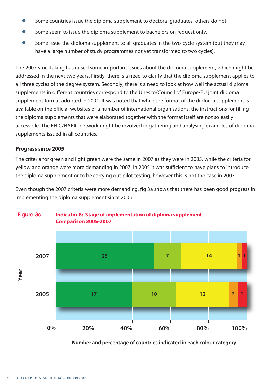- Some countries issue the diploma supplement to doctoral graduates, others do not.
- Some seem to issue the diploma supplement to bachelors on request only.
- Some issue the diploma supplement to all graduates in the two-cycle system (but they may have a large number of study programmes not yet transformed to two cycles).

The 2007 stocktaking has raised some important issues about the diploma supplement, which might be addressed in the next two years. Firstly, there is a need to clarify that the diploma supplement applies to all three cycles of the degree system. Secondly, there is a need to look at how well the actual diploma supplements in different countries correspond to the Unesco/Council of Europe/EU joint diploma supplement format adopted in 2001. It was noted that while the format of the diploma supplement is available on the official websites of a number of international organisations, the instructions for filling the diploma supplements that were elaborated together with the format itself are not so easily accessible. The ENIC/NARIC network might be involved in gathering and analysing examples of diploma supplements issued in all countries.

#### **Progress since 2005**

The criteria for green and light green were the same in 2007 as they were in 2005, while the criteria for yellow and orange were more demanding in 2007. In 2005 it was sufficient to have plans to introduce the diploma supplement or to be carrying out pilot testing; however this is not the case in 2007.

Even though the 2007 criteria were more demanding, fig 3a shows that there has been good progress in implementing the diploma supplement since 2005.



#### **Figure 3a ndicator 8: Stage of implementation of diploma supplement Comparison 2005-2007**

 **Number and percentage of countries indicated in each colour category**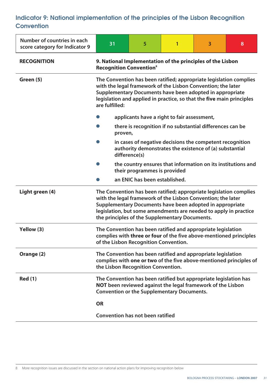## **Indicator 9: National implementation of the principles of the Lisbon Recognition Convention**

| Number of countries in each<br>score category for Indicator 9 | 31                                                                                                                                                                                                                                                                                                                   | 5                                       | 1 | $\overline{\mathbf{3}}$ | 8 |  |
|---------------------------------------------------------------|----------------------------------------------------------------------------------------------------------------------------------------------------------------------------------------------------------------------------------------------------------------------------------------------------------------------|-----------------------------------------|---|-------------------------|---|--|
| <b>RECOGNITION</b>                                            | 9. National Implementation of the principles of the Lisbon<br><b>Recognition Convention®</b>                                                                                                                                                                                                                         |                                         |   |                         |   |  |
| Green (5)                                                     | The Convention has been ratified; appropriate legislation complies<br>with the legal framework of the Lisbon Convention; the later<br>Supplementary Documents have been adopted in appropriate<br>legislation and applied in practice, so that the five main principles<br>are fulfilled:                            |                                         |   |                         |   |  |
|                                                               | applicants have a right to fair assessment,                                                                                                                                                                                                                                                                          |                                         |   |                         |   |  |
|                                                               | there is recognition if no substantial differences can be<br>proven,                                                                                                                                                                                                                                                 |                                         |   |                         |   |  |
|                                                               | in cases of negative decisions the competent recognition<br>authority demonstrates the existence of (a) substantial<br>difference(s)                                                                                                                                                                                 |                                         |   |                         |   |  |
|                                                               | the country ensures that information on its institutions and<br>their programmes is provided                                                                                                                                                                                                                         |                                         |   |                         |   |  |
|                                                               | an ENIC has been established.                                                                                                                                                                                                                                                                                        |                                         |   |                         |   |  |
| Light green (4)                                               | The Convention has been ratified; appropriate legislation complies<br>with the legal framework of the Lisbon Convention; the later<br>Supplementary Documents have been adopted in appropriate<br>legislation, but some amendments are needed to apply in practice<br>the principles of the Supplementary Documents. |                                         |   |                         |   |  |
| Yellow (3)                                                    | The Convention has been ratified and appropriate legislation<br>complies with three or four of the five above-mentioned principles<br>of the Lisbon Recognition Convention.                                                                                                                                          |                                         |   |                         |   |  |
| Orange (2)                                                    | The Convention has been ratified and appropriate legislation<br>complies with one or two of the five above-mentioned principles of<br>the Lisbon Recognition Convention.                                                                                                                                             |                                         |   |                         |   |  |
| <b>Red (1)</b>                                                | The Convention has been ratified but appropriate legislation has<br>NOT been reviewed against the legal framework of the Lisbon<br><b>Convention or the Supplementary Documents.</b>                                                                                                                                 |                                         |   |                         |   |  |
|                                                               | <b>OR</b>                                                                                                                                                                                                                                                                                                            |                                         |   |                         |   |  |
|                                                               |                                                                                                                                                                                                                                                                                                                      | <b>Convention has not been ratified</b> |   |                         |   |  |

8 More recognition issues are discussed in the section on national action plans for improving recognition below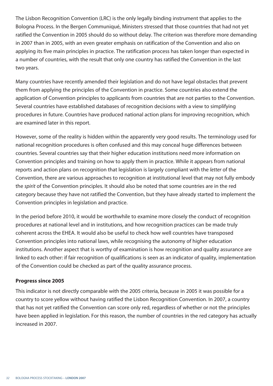The Lisbon Recognition Convention (LRC) is the only legally binding instrument that applies to the Bologna Process. In the Bergen Communiqué, Ministers stressed that those countries that had not yet ratified the Convention in 2005 should do so without delay. The criterion was therefore more demanding in 2007 than in 2005, with an even greater emphasis on ratification of the Convention and also on applying its five main principles in practice. The ratification process has taken longer than expected in a number of countries, with the result that only one country has ratified the Convention in the last two years.

Many countries have recently amended their legislation and do not have legal obstacles that prevent them from applying the principles of the Convention in practice. Some countries also extend the application of Convention principles to applicants from countries that are not parties to the Convention. Several countries have established databases of recognition decisions with a view to simplifying procedures in future. Countries have produced national action plans for improving recognition, which are examined later in this report.

However, some of the reality is hidden within the apparently very good results. The terminology used for national recognition procedures is often confused and this may conceal huge differences between countries. Several countries say that their higher education institutions need more information on Convention principles and training on how to apply them in practice. While it appears from national reports and action plans on recognition that legislation is largely compliant with the *letter* of the Convention, there are various approaches to recognition at institutional level that may not fully embody the *spirit* of the Convention principles. It should also be noted that some countries are in the red category because they have not ratified the Convention, but they have already started to implement the Convention principles in legislation and practice.

In the period before 2010, it would be worthwhile to examine more closely the conduct of recognition procedures at national level and in institutions, and how recognition practices can be made truly coherent across the EHEA. It would also be useful to check how well countries have transposed Convention principles into national laws, while recognising the autonomy of higher education institutions. Another aspect that is worthy of examination is how recognition and quality assurance are linked to each other: if fair recognition of qualifications is seen as an indicator of quality, implementation of the Convention could be checked as part of the quality assurance process.

## **Progress since 2005**

This indicator is not directly comparable with the 2005 criteria, because in 2005 it was possible for a country to score yellow without having ratified the Lisbon Recognition Convention. In 2007, a country that has not yet ratified the Convention can score only red, regardless of whether or not the principles have been applied in legislation. For this reason, the number of countries in the red category has actually increased in 2007.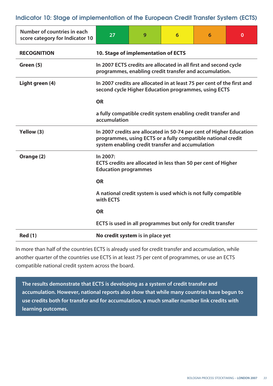**Indicator 10: Stage of implementation of the European Credit Transfer System (ECTS)**

| Number of countries in each<br>score category for Indicator 10 | 27                                                                                                                                                                                      | 9 | 6 | 6 | $\bf{0}$ |  |  |
|----------------------------------------------------------------|-----------------------------------------------------------------------------------------------------------------------------------------------------------------------------------------|---|---|---|----------|--|--|
| <b>RECOGNITION</b>                                             | 10. Stage of implementation of ECTS                                                                                                                                                     |   |   |   |          |  |  |
| Green (5)                                                      | In 2007 ECTS credits are allocated in all first and second cycle<br>programmes, enabling credit transfer and accumulation.                                                              |   |   |   |          |  |  |
| Light green (4)                                                | In 2007 credits are allocated in at least 75 per cent of the first and<br>second cycle Higher Education programmes, using ECTS                                                          |   |   |   |          |  |  |
|                                                                | <b>OR</b>                                                                                                                                                                               |   |   |   |          |  |  |
|                                                                | a fully compatible credit system enabling credit transfer and<br>accumulation                                                                                                           |   |   |   |          |  |  |
| Yellow (3)                                                     | In 2007 credits are allocated in 50-74 per cent of Higher Education<br>programmes, using ECTS or a fully compatible national credit<br>system enabling credit transfer and accumulation |   |   |   |          |  |  |
| Orange (2)                                                     | In 2007:<br>ECTS credits are allocated in less than 50 per cent of Higher<br><b>Education programmes</b>                                                                                |   |   |   |          |  |  |
|                                                                | <b>OR</b>                                                                                                                                                                               |   |   |   |          |  |  |
|                                                                | A national credit system is used which is not fully compatible<br>with <b>ECTS</b>                                                                                                      |   |   |   |          |  |  |
|                                                                | <b>OR</b>                                                                                                                                                                               |   |   |   |          |  |  |
|                                                                | ECTS is used in all programmes but only for credit transfer                                                                                                                             |   |   |   |          |  |  |
| <b>Red (1)</b>                                                 | No credit system is in place yet                                                                                                                                                        |   |   |   |          |  |  |

In more than half of the countries ECTS is already used for credit transfer and accumulation, while another quarter of the countries use ECTS in at least 75 per cent of programmes, or use an ECTS compatible national credit system across the board.

**The results demonstrate that ECTS is developing as a system of credit transfer and accumulation. However, national reports also show that while many countries have begun to use credits both for transfer and for accumulation, a much smaller number link credits with learning outcomes.**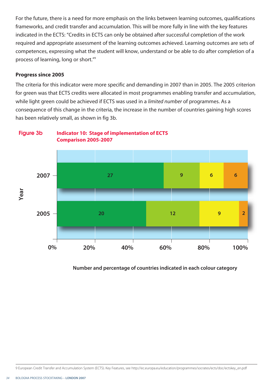For the future, there is a need for more emphasis on the links between learning outcomes, qualifications frameworks, and credit transfer and accumulation. This will be more fully in line with the key features indicated in the ECTS: "Credits in ECTS can only be obtained after successful completion of the work required and appropriate assessment of the learning outcomes achieved. Learning outcomes are sets of competences, expressing what the student will know, understand or be able to do after completion of a process of learning, long or short."9

### **Progress since 2005**

The criteria for this indicator were more specific and demanding in 2007 than in 2005. The 2005 criterion for green was that ECTS credits were allocated in most programmes enabling transfer and accumulation, while light green could be achieved if ECTS was used in a *limited number* of programmes. As a consequence of this change in the criteria, the increase in the number of countries gaining high scores has been relatively small, as shown in fig 3b.

**Figure 3b ndicator 10: Stage of implementation of ECTS Comparison 2005-2007**



## **Number and percentage of countries indicated in each colour category**

9 European Credit Transfer and Accumulation System (ECTS). Key Features, see http://ec.europa.eu/education/programmes/socrates/ects/doc/ectskey\_en.pdf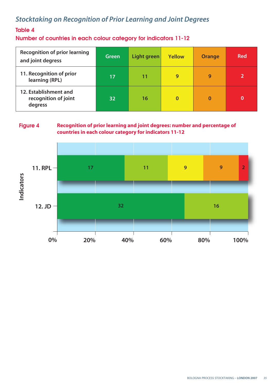## *Stocktaking on Recognition of Prior Learning and Joint Degrees*

## **Table 4**

**Number of countries in each colour category for indicators 11-12**

| <b>Recognition of prior learning</b><br>and joint degress | Green | Light green | <b>Yellow</b> | <b>Orange</b> | <b>Red</b> |
|-----------------------------------------------------------|-------|-------------|---------------|---------------|------------|
| 11. Recognition of prior<br>learning (RPL)                | 17    | 11          | 9             | 9             |            |
| 12. Establishment and<br>recognition of joint<br>degress  | 32    | 16          | $\bf{0}$      | 0             | O          |

**Figure 4 Recognition of prior learning and joint degrees: number and percentage of countries in each colour category for indicators 11-12**

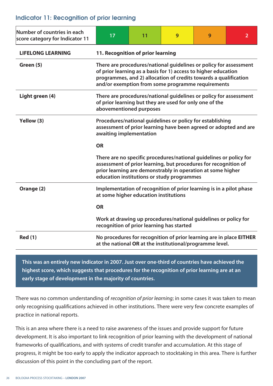## **Indicator 11: Recognition of prior learning**

| Number of countries in each<br>score category for Indicator 11 | 17                                                                                                                                                                                                                                                           | 11 | 9 | 9 | $\overline{2}$ |  |  |
|----------------------------------------------------------------|--------------------------------------------------------------------------------------------------------------------------------------------------------------------------------------------------------------------------------------------------------------|----|---|---|----------------|--|--|
| <b>LIFELONG LEARNING</b>                                       | 11. Recognition of prior learning                                                                                                                                                                                                                            |    |   |   |                |  |  |
| Green (5)                                                      | There are procedures/national guidelines or policy for assessment<br>of prior learning as a basis for 1) access to higher education<br>programmes, and 2) allocation of credits towards a qualification<br>and/or exemption from some programme requirements |    |   |   |                |  |  |
| Light green (4)                                                | There are procedures/national guidelines or policy for assessment<br>of prior learning but they are used for only one of the<br>abovementioned purposes                                                                                                      |    |   |   |                |  |  |
| Yellow (3)                                                     | Procedures/national guidelines or policy for establishing<br>assessment of prior learning have been agreed or adopted and are<br>awaiting implementation                                                                                                     |    |   |   |                |  |  |
|                                                                | <b>OR</b>                                                                                                                                                                                                                                                    |    |   |   |                |  |  |
|                                                                | There are no specific procedures/national guidelines or policy for<br>assessment of prior learning, but procedures for recognition of<br>prior learning are demonstrably in operation at some higher<br>education institutions or study programmes           |    |   |   |                |  |  |
| Orange (2)                                                     | Implementation of recognition of prior learning is in a pilot phase<br>at some higher education institutions                                                                                                                                                 |    |   |   |                |  |  |
|                                                                | <b>OR</b>                                                                                                                                                                                                                                                    |    |   |   |                |  |  |
|                                                                | Work at drawing up procedures/national guidelines or policy for<br>recognition of prior learning has started                                                                                                                                                 |    |   |   |                |  |  |
| <b>Red (1)</b>                                                 | No procedures for recognition of prior learning are in place EITHER<br>at the national OR at the institutional/programme level.                                                                                                                              |    |   |   |                |  |  |

**This was an entirely new indicator in 2007. Just over one-third of countries have achieved the highest score, which suggests that procedures for the recognition of prior learning are at an early stage of development in the majority of countries.** 

There was no common understanding of *recognition of prior learning*; in some cases it was taken to mean only recognising qualifications achieved in other institutions. There were very few concrete examples of practice in national reports.

This is an area where there is a need to raise awareness of the issues and provide support for future development. It is also important to link recognition of prior learning with the development of national frameworks of qualifications, and with systems of credit transfer and accumulation. At this stage of progress, it might be too early to apply the indicator approach to stocktaking in this area. There is further discussion of this point in the concluding part of the report.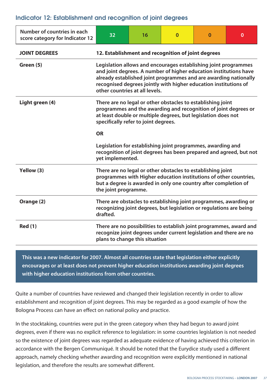## **Indicator 12: Establishment and recognition of joint degrees**

| Number of countries in each<br>score category for Indicator 12 | 32                                                                                                                                                                                                                                                                                                             | 16 | $\Omega$ | $\Omega$ | 0 |  |
|----------------------------------------------------------------|----------------------------------------------------------------------------------------------------------------------------------------------------------------------------------------------------------------------------------------------------------------------------------------------------------------|----|----------|----------|---|--|
| <b>JOINT DEGREES</b>                                           | 12. Establishment and recognition of joint degrees                                                                                                                                                                                                                                                             |    |          |          |   |  |
| Green (5)                                                      | Legislation allows and encourages establishing joint programmes<br>and joint degrees. A number of higher education institutions have<br>already established joint programmes and are awarding nationally<br>recognised degrees jointly with higher education institutions of<br>other countries at all levels. |    |          |          |   |  |
| Light green (4)                                                | There are no legal or other obstacles to establishing joint<br>programmes and the awarding and recognition of joint degrees or<br>at least double or multiple degrees, but legislation does not<br>specifically refer to joint degrees.                                                                        |    |          |          |   |  |
|                                                                | <b>OR</b>                                                                                                                                                                                                                                                                                                      |    |          |          |   |  |
|                                                                | Legislation for establishing joint programmes, awarding and<br>recognition of joint degrees has been prepared and agreed, but not<br>yet implemented.                                                                                                                                                          |    |          |          |   |  |
| Yellow (3)                                                     | There are no legal or other obstacles to establishing joint<br>programmes with Higher education institutions of other countries,<br>but a degree is awarded in only one country after completion of<br>the joint programme.                                                                                    |    |          |          |   |  |
| Orange (2)                                                     | There are obstacles to establishing joint programmes, awarding or<br>recognizing joint degrees, but legislation or regulations are being<br>drafted.                                                                                                                                                           |    |          |          |   |  |
| <b>Red (1)</b>                                                 | There are no possibilities to establish joint programmes, award and<br>recognize joint degrees under current legislation and there are no<br>plans to change this situation                                                                                                                                    |    |          |          |   |  |

**This was a new indicator for 2007. Almost all countries state that legislation either explicitly encourages or at least does not prevent higher education institutions awarding joint degrees with higher education institutions from other countries.** 

Quite a number of countries have reviewed and changed their legislation recently in order to allow establishment and recognition of joint degrees. This may be regarded as a good example of how the Bologna Process can have an effect on national policy and practice.

In the stocktaking, countries were put in the green category when they had begun to award joint degrees, even if there was no explicit reference to legislation: in some countries legislation is not needed so the existence of joint degrees was regarded as adequate evidence of having achieved this criterion in accordance with the Bergen Communiqué. It should be noted that the Eurydice study used a different approach, namely checking whether awarding and recognition were explicitly mentioned in national legislation, and therefore the results are somewhat different.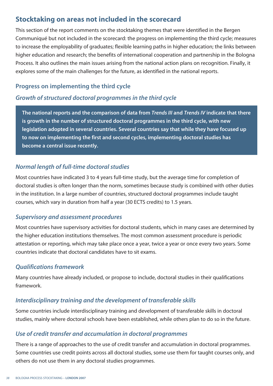## **Stocktaking on areas not included in the scorecard**

This section of the report comments on the stocktaking themes that were identified in the Bergen Communiqué but not included in the scorecard: the progress on implementing the third cycle; measures to increase the employability of graduates; flexible learning paths in higher education; the links between higher education and research; the benefits of international cooperation and partnership in the Bologna Process. It also outlines the main issues arising from the national action plans on recognition. Finally, it explores some of the main challenges for the future, as identified in the national reports.

## **Progress on implementing the third cycle**

## *Growth of structured doctoral programmes in the third cycle*

**The national reports and the comparison of data from** *Trends III* **and** *Trends IV* **indicate that there is growth in the number of structured doctoral programmes in the third cycle, with new legislation adopted in several countries. Several countries say that while they have focused up to now on implementing the first and second cycles, implementing doctoral studies has become a central issue recently.**

## *Normal length of full-time doctoral studies*

Most countries have indicated 3 to 4 years full-time study, but the average time for completion of doctoral studies is often longer than the norm, sometimes because study is combined with other duties in the institution. In a large number of countries, structured doctoral programmes include taught courses, which vary in duration from half a year (30 ECTS credits) to 1.5 years.

## *Supervisory and assessment procedures*

Most countries have supervisory activities for doctoral students, which in many cases are determined by the higher education institutions themselves. The most common assessment procedure is periodic attestation or reporting, which may take place once a year, twice a year or once every two years. Some countries indicate that doctoral candidates have to sit exams.

## *Qualifications framework*

Many countries have already included, or propose to include, doctoral studies in their qualifications framework.

## *Interdisciplinary training and the development of transferable skills*

Some countries include interdisciplinary training and development of transferable skills in doctoral studies, mainly where doctoral schools have been established, while others plan to do so in the future.

## *Use of credit transfer and accumulation in doctoral programmes*

There is a range of approaches to the use of credit transfer and accumulation in doctoral programmes. Some countries use credit points across all doctoral studies, some use them for taught courses only, and others do not use them in any doctoral studies programmes.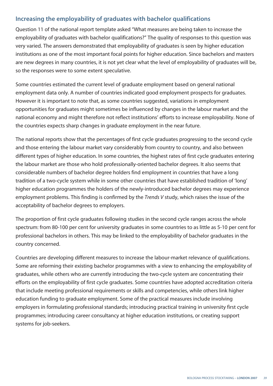## **Increasing the employability of graduates with bachelor qualifications**

Question 11 of the national report template asked "What measures are being taken to increase the employability of graduates with bachelor qualifications?" The quality of responses to this question was very varied. The answers demonstrated that employability of graduates is seen by higher education institutions as one of the most important focal points for higher education. Since bachelors and masters are new degrees in many countries, it is not yet clear what the level of employability of graduates will be, so the responses were to some extent speculative.

Some countries estimated the current level of graduate employment based on general national employment data only. A number of countries indicated good employment prospects for graduates. However it is important to note that, as some countries suggested, variations in employment opportunities for graduates might sometimes be influenced by changes in the labour market and the national economy and might therefore not reflect institutions' efforts to increase employability. None of the countries expects sharp changes in graduate employment in the near future.

The national reports show that the percentages of first cycle graduates progressing to the second cycle and those entering the labour market vary considerably from country to country, and also between different types of higher education. In some countries, the highest rates of first cycle graduates entering the labour market are those who hold professionally-oriented bachelor degrees. It also seems that considerable numbers of bachelor degree holders find employment in countries that have a long tradition of a two-cycle system while in some other countries that have established tradition of 'long' higher education programmes the holders of the newly-introduced bachelor degrees may experience employment problems. This finding is confirmed by the *Trends V* study, which raises the issue of the acceptability of bachelor degrees to employers.

The proportion of first cycle graduates following studies in the second cycle ranges across the whole spectrum: from 80-100 per cent for university graduates in some countries to as little as 5-10 per cent for professional bachelors in others. This may be linked to the employability of bachelor graduates in the country concerned.

Countries are developing different measures to increase the labour-market relevance of qualifications. Some are reforming their existing bachelor programmes with a view to enhancing the employability of graduates, while others who are currently introducing the two-cycle system are concentrating their efforts on the employability of first cycle graduates. Some countries have adopted accreditation criteria that include meeting professional requirements or skills and competencies, while others link higher education funding to graduate employment. Some of the practical measures include involving employers in formulating professional standards; introducing practical training in university first cycle programmes; introducing career consultancy at higher education institutions, or creating support systems for job-seekers.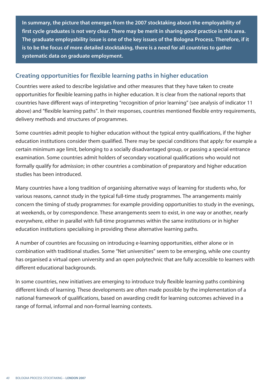**In summary, the picture that emerges from the 2007 stocktaking about the employability of first cycle graduates is not very clear. There may be merit in sharing good practice in this area. The graduate employability issue is one of the key issues of the Bologna Process. Therefore, if it is to be the focus of more detailed stocktaking, there is a need for all countries to gather systematic data on graduate employment.** 

## **Creating opportunities for flexible learning paths in higher education**

Countries were asked to describe legislative and other measures that they have taken to create opportunities for flexible learning paths in higher education. It is clear from the national reports that countries have different ways of interpreting "recognition of prior learning" (see analysis of indicator 11 above) and "flexible learning paths". In their responses, countries mentioned flexible entry requirements, delivery methods and structures of programmes.

Some countries admit people to higher education without the typical entry qualifications, if the higher education institutions consider them qualified. There may be special conditions that apply: for example a certain minimum age limit, belonging to a socially disadvantaged group, or passing a special entrance examination. Some countries admit holders of secondary vocational qualifications who would not formally qualify for admission; in other countries a combination of preparatory and higher education studies has been introduced.

Many countries have a long tradition of organising alternative ways of learning for students who, for various reasons, cannot study in the typical full-time study programmes. The arrangements mainly concern the timing of study programmes: for example providing opportunities to study in the evenings, at weekends, or by correspondence. These arrangements seem to exist, in one way or another, nearly everywhere, either in parallel with full-time programmes within the same institutions or in higher education institutions specialising in providing these alternative learning paths.

A number of countries are focussing on introducing e-learning opportunities, either alone or in combination with traditional studies. Some "Net universities" seem to be emerging, while one country has organised a virtual open university and an open polytechnic that are fully accessible to learners with different educational backgrounds.

In some countries, new initiatives are emerging to introduce truly flexible learning paths combining different kinds of learning. These developments are often made possible by the implementation of a national framework of qualifications, based on awarding credit for learning outcomes achieved in a range of formal, informal and non-formal learning contexts.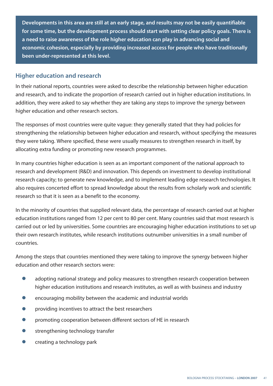**Developments in this area are still at an early stage, and results may not be easily quantifiable for some time, but the development process should start with setting clear policy goals. There is a need to raise awareness of the role higher education can play in advancing social and economic cohesion, especially by providing increased access for people who have traditionally been under-represented at this level.** 

## **Higher education and research**

In their national reports, countries were asked to describe the relationship between higher education and research, and to indicate the proportion of research carried out in higher education institutions. In addition, they were asked to say whether they are taking any steps to improve the synergy between higher education and other research sectors.

The responses of most countries were quite vague: they generally stated that they had policies for strengthening the relationship between higher education and research, without specifying the measures they were taking. Where specified, these were usually measures to strengthen research in itself, by allocating extra funding or promoting new research programmes.

In many countries higher education is seen as an important component of the national approach to research and development (R&D) and innovation. This depends on investment to develop institutional research capacity; to generate new knowledge, and to implement leading edge research technologies. It also requires concerted effort to spread knowledge about the results from scholarly work and scientific research so that it is seen as a benefit to the economy.

In the minority of countries that supplied relevant data, the percentage of research carried out at higher education institutions ranged from 12 per cent to 80 per cent. Many countries said that most research is carried out or led by universities. Some countries are encouraging higher education institutions to set up their own research institutes, while research institutions outnumber universities in a small number of countries.

Among the steps that countries mentioned they were taking to improve the synergy between higher education and other research sectors were:

- **●** adopting national strategy and policy measures to strengthen research cooperation between higher education institutions and research institutes, as well as with business and industry
- **●** encouraging mobility between the academic and industrial worlds
- **●** providing incentives to attract the best researchers
- **•** promoting cooperation between different sectors of HE in research
- **●** strengthening technology transfer
- **●** creating a technology park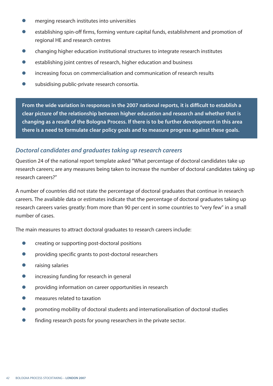- **●** merging research institutes into universities
- establishing spin-off firms, forming venture capital funds, establishment and promotion of regional HE and research centres
- **●** changing higher education institutional structures to integrate research institutes
- **●** establishing joint centres of research, higher education and business
- **●** increasing focus on commercialisation and communication of research results
- subsidising public-private research consortia.

**From the wide variation in responses in the 2007 national reports, it is difficult to establish a clear picture of the relationship between higher education and research and whether that is changing as a result of the Bologna Process. If there is to be further development in this area there is a need to formulate clear policy goals and to measure progress against these goals.**

## *Doctoral candidates and graduates taking up research careers*

Question 24 of the national report template asked "What percentage of doctoral candidates take up research careers; are any measures being taken to increase the number of doctoral candidates taking up research careers?"

A number of countries did not state the percentage of doctoral graduates that continue in research careers. The available data or estimates indicate that the percentage of doctoral graduates taking up research careers varies greatly: from more than 90 per cent in some countries to "very few" in a small number of cases.

The main measures to attract doctoral graduates to research careers include:

- **●** creating or supporting post-doctoral positions
- **●** providing specific grants to post-doctoral researchers
- **●** raising salaries
- **●** increasing funding for research in general
- **●** providing information on career opportunities in research
- **●** measures related to taxation
- **●** promoting mobility of doctoral students and internationalisation of doctoral studies
- finding research posts for young researchers in the private sector.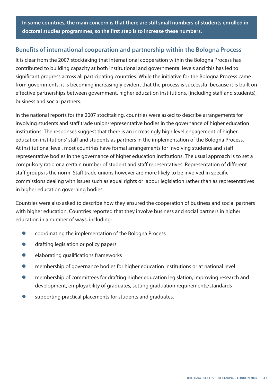**In some countries, the main concern is that there are still small numbers of students enrolled in doctoral studies programmes, so the first step is to increase these numbers.** 

## **Benefits of international cooperation and partnership within the Bologna Process**

It is clear from the 2007 stocktaking that international cooperation within the Bologna Process has contributed to building capacity at both institutional and governmental levels and this has led to significant progress across all participating countries. While the initiative for the Bologna Process came from governments, it is becoming increasingly evident that the process is successful because it is built on effective partnerships between government, higher education institutions, (including staff and students), business and social partners.

In the national reports for the 2007 stocktaking, countries were asked to describe arrangements for involving students and staff trade union/representative bodies in the governance of higher education institutions. The responses suggest that there is an increasingly high level engagement of higher education institutions' staff and students as partners in the implementation of the Bologna Process. At institutional level, most countries have formal arrangements for involving students and staff representative bodies in the governance of higher education institutions. The usual approach is to set a compulsory ratio or a certain number of student and staff repesentatives. Representation of different staff groups is the norm. Staff trade unions however are more likely to be involved in specific commissions dealing with issues such as equal rights or labour legislation rather than as representatives in higher education governing bodies.

Countries were also asked to describe how they ensured the cooperation of business and social partners with higher education. Countries reported that they involve business and social partners in higher education in a number of ways, including:

- **●** coordinating the implementation of the Bologna Process
- **●** drafting legislation or policy papers
- **●** elaborating qualifications frameworks
- **●** membership of governance bodies for higher education institutions or at national level
- membership of committees for drafting higher education legislation, improving research and development, employability of graduates, setting graduation requirements/standards
- **●** supporting practical placements for students and graduates.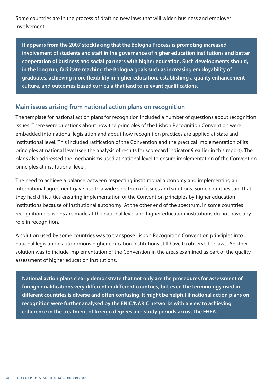Some countries are in the process of drafting new laws that will widen business and employer involvement.

**It appears from the 2007 stocktaking that the Bologna Process is promoting increased involvement of students and staff in the governance of higher education institutions and better cooperation of business and social partners with higher education. Such developments should, in the long run, facilitate reaching the Bologna goals such as increasing employability of graduates, achieving more flexibility in higher education, establishing a quality enhancement culture, and outcomes-based curricula that lead to relevant qualifications.**

## **Main issues arising from national action plans on recognition**

The template for national action plans for recognition included a number of questions about recognition issues. There were questions about how the principles of the Lisbon Recognition Convention were embedded into national legislation and about how recognition practices are applied at state and institutional level. This included ratification of the Convention and the practical implementation of its principles at national level (see the analysis of results for scorecard indicator 9 earlier in this report). The plans also addressed the mechanisms used at national level to ensure implementation of the Convention principles at institutional level.

The need to achieve a balance between respecting institutional autonomy and implementing an international agreement gave rise to a wide spectrum of issues and solutions. Some countries said that they had difficulties ensuring implementation of the Convention principles by higher education institutions because of institutional autonomy. At the other end of the spectrum, in some countries recognition decisions are made at the national level and higher education institutions do not have any role in recognition.

A solution used by some countries was to transpose Lisbon Recognition Convention principles into national legislation: autonomous higher education institutions still have to observe the laws. Another solution was to include implementation of the Convention in the areas examined as part of the quality assessment of higher education institutions.

**National action plans clearly demonstrate that not only are the procedures for assessment of foreign qualifications very different in different countries, but even the terminology used in different countries is diverse and often confusing. It might be helpful if national action plans on recognition were further analysed by the ENIC/NARIC networks with a view to achieving coherence in the treatment of foreign degrees and study periods across the EHEA.**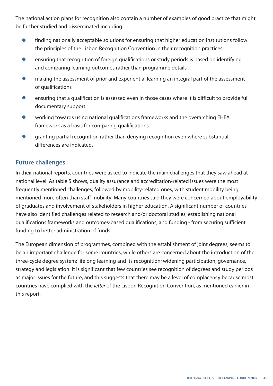The national action plans for recognition also contain a number of examples of good practice that might be further studied and disseminated including:

- **●** finding nationally acceptable solutions for ensuring that higher education institutions follow the principles of the Lisbon Recognition Convention in their recognition practices
- **●** ensuring that recognition of foreign qualifications or study periods is based on identifying and comparing learning outcomes rather than programme details
- making the assessment of prior and experiential learning an integral part of the assessment of qualifications
- **●** ensuring that a qualification is assessed even in those cases where it is difficult to provide full documentary support
- working towards using national qualifications frameworks and the overarching EHEA framework as a basis for comparing qualifications
- **●** granting partial recognition rather than denying recognition even where substantial differences are indicated.

## **Future challenges**

In their national reports, countries were asked to indicate the main challenges that they saw ahead at national level. As table 5 shows, quality assurance and accreditation-related issues were the most frequently mentioned challenges, followed by mobility-related ones, with student mobility being mentioned more often than staff mobility. Many countries said they were concerned about employability of graduates and involvement of stakeholders in higher education. A significant number of countries have also identified challenges related to research and/or doctoral studies; establishing national qualifications frameworks and outcomes-based qualifications, and funding - from securing sufficient funding to better administration of funds.

The European dimension of programmes, combined with the establishment of joint degrees, seems to be an important challenge for some countries, while others are concerned about the introduction of the three-cycle degree system; lifelong learning and its recognition; widening participation; governance, strategy and legislation. It is significant that few countries see recognition of degrees and study periods as major issues for the future, and this suggests that there may be a level of complacency because most countries have complied with the *letter* of the Lisbon Recognition Convention, as mentioned earlier in this report.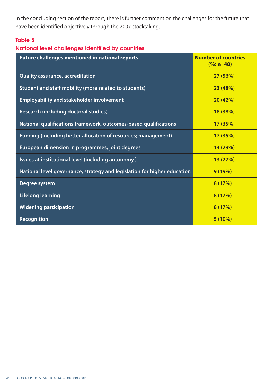In the concluding section of the report, there is further comment on the challenges for the future that have been identified objectively through the 2007 stocktaking.

## **Table 5**

## **National level challenges identified by countries**

| <b>Future challenges mentioned in national reports</b>                   | <b>Number of countries</b><br>$(%:n=48)$ |
|--------------------------------------------------------------------------|------------------------------------------|
| <b>Quality assurance, accreditation</b>                                  | 27(56%)                                  |
| Student and staff mobility (more related to students)                    | 23(48%)                                  |
| <b>Employability and stakeholder involvement</b>                         | 20(42%)                                  |
| <b>Research (including doctoral studies)</b>                             | 18 (38%)                                 |
| National qualifications framework, outcomes-based qualifications         | 17(35%)                                  |
| <b>Funding (including better allocation of resources; management)</b>    | 17 (35%)                                 |
| European dimension in programmes, joint degrees                          | 14(29%)                                  |
| Issues at institutional level (including autonomy)                       | 13(27%)                                  |
| National level governance, strategy and legislation for higher education | 9(19%)                                   |
| Degree system                                                            | 8(17%)                                   |
| <b>Lifelong learning</b>                                                 | 8(17%)                                   |
| <b>Widening participation</b>                                            | 8(17%)                                   |
| <b>Recognition</b>                                                       | 5(10%)                                   |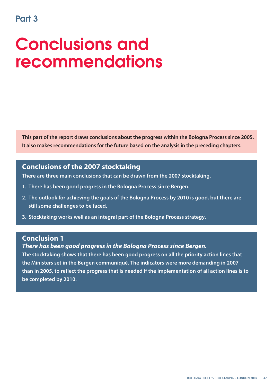## **Part 3**

## **Conclusions and recommendations**

**This part of the report draws conclusions about the progress within the Bologna Process since 2005. It also makes recommendations for the future based on the analysis in the preceding chapters.** 

## **Conclusions of the 2007 stocktaking**

**There are three main conclusions that can be drawn from the 2007 stocktaking.**

- **1. There has been good progress in the Bologna Process since Bergen.**
- **2. The outlook for achieving the goals of the Bologna Process by 2010 is good, but there are still some challenges to be faced.**
- **3. Stocktaking works well as an integral part of the Bologna Process strategy.**

## **Conclusion 1**

## *There has been good progress in the Bologna Process since Bergen.*

**The stocktaking shows that there has been good progress on all the priority action lines that the Ministers set in the Bergen communiqué. The indicators were more demanding in 2007 than in 2005, to reflect the progress that is needed if the implementation of all action lines is to be completed by 2010.**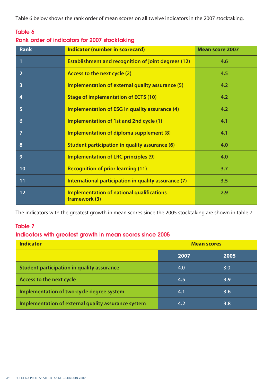Table 6 below shows the rank order of mean scores on all twelve indicators in the 2007 stocktaking.

## **Table 6**

## **Rank order of indicators for 2007 stocktaking**

| <b>Rank</b>             | <b>Indicator (number in scorecard)</b>                            | <b>Mean score 2007</b> |
|-------------------------|-------------------------------------------------------------------|------------------------|
| 1                       | <b>Establishment and recognition of joint degrees (12)</b>        | 4.6                    |
| $\overline{2}$          | Access to the next cycle (2)                                      | 4.5                    |
| $\overline{\mathbf{3}}$ | Implementation of external quality assurance (5)                  | 4.2                    |
| 4                       | <b>Stage of implementation of ECTS (10)</b>                       | 4.2                    |
| 5                       | <b>Implementation of ESG in quality assurance (4)</b>             | 4.2                    |
| 6                       | Implementation of 1st and 2nd cycle (1)                           | 4.1                    |
| $\overline{7}$          | Implementation of diploma supplement (8)                          | 4.1                    |
| 8                       | Student participation in quality assurance (6)                    | 4.0                    |
| 9                       | <b>Implementation of LRC principles (9)</b>                       | 4.0                    |
| 10                      | <b>Recognition of prior learning (11)</b>                         | 3.7                    |
| 11                      | International participation in quality assurance (7)              | 3.5                    |
| 12                      | <b>Implementation of national qualifications</b><br>framework (3) | 2.9                    |

The indicators with the greatest growth in mean scores since the 2005 stocktaking are shown in table 7.

## **Table 7**

## **Indicators with greatest growth in mean scores since 2005**

| <b>Indicator</b>                                    | <b>Mean scores</b> |                  |  |
|-----------------------------------------------------|--------------------|------------------|--|
|                                                     | 2007               | 2005             |  |
| <b>Student participation in quality assurance</b>   | 4.0                | 3.0              |  |
| Access to the next cycle                            | 4.5                | 3.9              |  |
| Implementation of two-cycle degree system           | 4.1                | 3.6 <sub>1</sub> |  |
| Implementation of external quality assurance system | 4.2                | 3.8              |  |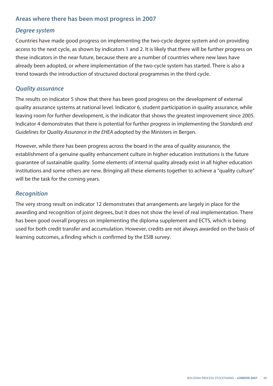## **Areas where there has been most progress in 2007**

## *Degree system*

Countries have made good progress on implementing the two-cycle degree system and on providing access to the next cycle, as shown by indicators 1 and 2. It is likely that there will be further progress on these indicators in the near future, because there are a number of countries where new laws have already been adopted, or where implementation of the two-cycle system has started. There is also a trend towards the introduction of structured doctoral programmes in the third cycle.

## *Quality assurance*

The results on indicator 5 show that there has been good progress on the development of external quality assurance systems at national level. Indicator 6, student participation in quality assurance, while leaving room for further development, is the indicator that shows the greatest improvement since 2005. Indicator 4 demonstrates that there is potential for further progress in implementing the *Standards and Guidelines for Quality Assurance in the EHEA* adopted by the Ministers in Bergen.

However, while there has been progress across the board in the area of quality assurance, the establishment of a genuine quality enhancement culture in higher education institutions is the future guarantee of sustainable quality. Some elements of internal quality already exist in all higher education institutions and some others are new. Bringing all these elements together to achieve a "quality culture" will be the task for the coming years.

## *Recognition*

The very strong result on indicator 12 demonstrates that arrangements are largely in place for the awarding and recognition of joint degrees, but it does not show the level of real implementation. There has been good overall progress on implementing the diploma supplement and ECTS, which is being used for both credit transfer and accumulation. However, credits are not always awarded on the basis of learning outcomes, a finding which is confirmed by the ESIB survey.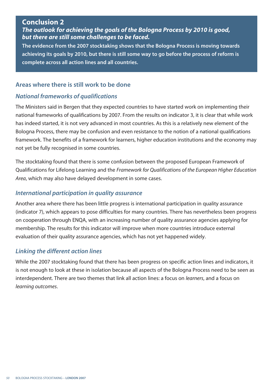## **Conclusion 2**

*The outlook for achieving the goals of the Bologna Process by 2010 is good, but there are still some challenges to be faced.*

**The evidence from the 2007 stocktaking shows that the Bologna Process is moving towards achieving its goals by 2010, but there is still some way to go before the process of reform is complete across all action lines and all countries.** 

## **Areas where there is still work to be done**

## *National frameworks of qualifications*

The Ministers said in Bergen that they expected countries to have started work on implementing their national frameworks of qualifications by 2007. From the results on indicator 3, it is clear that while work has indeed started, it is not very advanced in most countries. As this is a relatively new element of the Bologna Process, there may be confusion and even resistance to the notion of a national qualifications framework. The benefits of a framework for learners, higher education institutions and the economy may not yet be fully recognised in some countries.

The stocktaking found that there is some confusion between the proposed European Framework of Qualifications for Lifelong Learning and the *Framework for Qualifications of the European Higher Education Area*, which may also have delayed development in some cases.

## *International participation in quality assurance*

Another area where there has been little progress is international participation in quality assurance (indicator 7), which appears to pose difficulties for many countries. There has nevertheless been progress on cooperation through ENQA, with an increasing number of quality assurance agencies applying for membership. The results for this indicator will improve when more countries introduce external evaluation of their quality assurance agencies, which has not yet happened widely.

## *Linking the different action lines*

While the 2007 stocktaking found that there has been progress on specific action lines and indicators, it is not enough to look at these in isolation because all aspects of the Bologna Process need to be seen as interdependent. There are two themes that link all action lines: a focus on *learners*, and a focus on *learning outcomes*.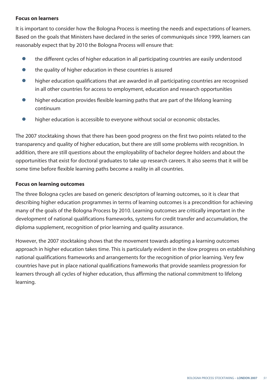### **Focus on learners**

It is important to consider how the Bologna Process is meeting the needs and expectations of learners. Based on the goals that Ministers have declared in the series of communiqués since 1999, learners can reasonably expect that by 2010 the Bologna Process will ensure that:

- **●** the different cycles of higher education in all participating countries are easily understood
- **●** the quality of higher education in these countries is assured
- higher education qualifications that are awarded in all participating countries are recognised in all other countries for access to employment, education and research opportunities
- **●** higher education provides flexible learning paths that are part of the lifelong learning continuum
- **●** higher education is accessible to everyone without social or economic obstacles.

The 2007 stocktaking shows that there has been good progress on the first two points related to the transparency and quality of higher education, but there are still some problems with recognition. In addition, there are still questions about the employability of bachelor degree holders and about the opportunities that exist for doctoral graduates to take up research careers. It also seems that it will be some time before flexible learning paths become a reality in all countries.

#### **Focus on learning outcomes**

The three Bologna cycles are based on generic descriptors of learning outcomes, so it is clear that describing higher education programmes in terms of learning outcomes is a precondition for achieving many of the goals of the Bologna Process by 2010. Learning outcomes are critically important in the development of national qualifications frameworks, systems for credit transfer and accumulation, the diploma supplement, recognition of prior learning and quality assurance.

However, the 2007 stocktaking shows that the movement towards adopting a learning outcomes approach in higher education takes time. This is particularly evident in the slow progress on establishing national qualifications frameworks and arrangements for the recognition of prior learning. Very few countries have put in place national qualifications frameworks that provide seamless progression for learners through all cycles of higher education, thus affirming the national commitment to lifelong learning.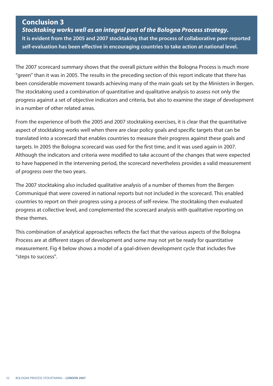## **Conclusion 3**

*Stocktaking works well as an integral part of the Bologna Process strategy.* **It is evident from the 2005 and 2007 stocktaking that the process of collaborative peer-reported self-evaluation has been effective in encouraging countries to take action at national level.**

The 2007 scorecard summary shows that the overall picture within the Bologna Process is much more "green" than it was in 2005. The results in the preceding section of this report indicate that there has been considerable movement towards achieving many of the main goals set by the Ministers in Bergen. The stocktaking used a combination of quantitative and qualitative analysis to assess not only the progress against a set of objective indicators and criteria, but also to examine the stage of development in a number of other related areas.

From the experience of both the 2005 and 2007 stocktaking exercises, it is clear that the quantitative aspect of stocktaking works well when there are clear policy goals and specific targets that can be translated into a scorecard that enables countries to measure their progress against these goals and targets. In 2005 the Bologna scorecard was used for the first time, and it was used again in 2007. Although the indicators and criteria were modified to take account of the changes that were expected to have happened in the intervening period, the scorecard nevertheless provides a valid measurement of progress over the two years.

The 2007 stocktaking also included qualitative analysis of a number of themes from the Bergen Communiqué that were covered in national reports but not included in the scorecard. This enabled countries to report on their progress using a process of self-review. The stocktaking then evaluated progress at collective level, and complemented the scorecard analysis with qualitative reporting on these themes.

This combination of analytical approaches reflects the fact that the various aspects of the Bologna Process are at different stages of development and some may not yet be ready for quantitative measurement. Fig 4 below shows a model of a goal-driven development cycle that includes five "steps to success".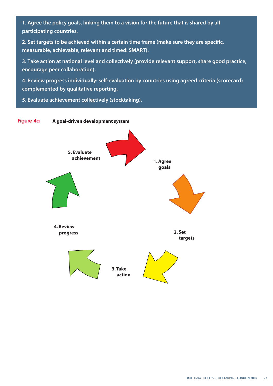**1. Agree the policy goals, linking them to a vision for the future that is shared by all participating countries.**

**2. Set targets to be achieved within a certain time frame (make sure they are specific, measurable, achievable, relevant and timed: SMART).**

**3. Take action at national level and collectively (provide relevant support, share good practice, encourage peer collaboration).**

**4. Review progress individually: self-evaluation by countries using agreed criteria (scorecard) complemented by qualitative reporting.**

**5. Evaluate achievement collectively (stocktaking).** 

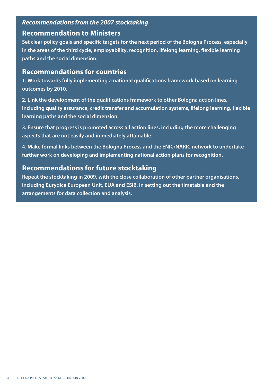## *Recommendations from the 2007 stocktaking*

## **Recommendation to Ministers**

**Set clear policy goals and specific targets for the next period of the Bologna Process, especially in the areas of the third cycle, employability, recognition, lifelong learning, flexible learning paths and the social dimension.** 

## **Recommendations for countries**

**1. Work towards fully implementing a national qualifications framework based on learning outcomes by 2010.** 

**2. Link the development of the qualifications framework to other Bologna action lines, including quality assurance, credit transfer and accumulation systems, lifelong learning, flexible learning paths and the social dimension.** 

**3. Ensure that progress is promoted across all action lines, including the more challenging aspects that are not easily and immediately attainable.** 

**4. Make formal links between the Bologna Process and the ENIC/NARIC network to undertake further work on developing and implementing national action plans for recognition.**

## **Recommendations for future stocktaking**

**Repeat the stocktaking in 2009, with the close collaboration of other partner organisations, including Eurydice European Unit, EUA and ESIB, in setting out the timetable and the arrangements for data collection and analysis.**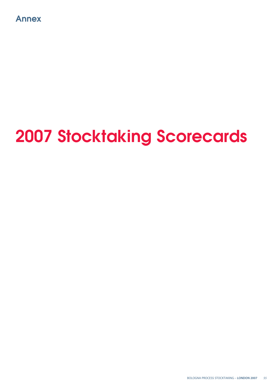

# **2007 Stocktaking Scorecards**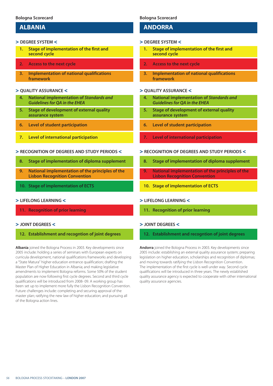## **ALBANIA**

#### > **DEGREE SYSTEM** <

- **1. Stage of implementation of the first and second cycle**
- **2. Access to the next cycle**
- **3. Implementation of national qualifications framework**

#### > **QUALITY ASSURANCE** <

- **4. National implementation of** *Standards and Guidelines for QA in the EHEA*
- **5. Stage of development of external quality assurance system**
- **6. Level of student participation**
- **7. Level of international participation**

#### > **RECOGNITION OF DEGREES AND STUDY PERIODS** <

- **8. Stage of implementation of diploma supplement**
- **9. National implementation of the principles of the Lisbon Recognition Convention**
- **10. Stage of implementation of ECTS**

#### > **LIFELONG LEARNING** <

**11. Recognition of prior learning** 

#### > **JOINT DEGREES** <

#### **12. Establishment and recogntion of joint degrees**

**Albania** joined the Bologna Process in 2003. Key developments since 2005 include: holding a series of seminars with European experts on curricula development, national qualifications frameworks and developing a "State Matura" higher education entrance qualification; drafting the Master Plan of Higher Education in Albania; and making legislative amendments to implement Bologna reforms. Some 50% of the student population are now following first cycle degrees. Second and third cycle qualifications will be introduced from 2008- 09. A working group has been set up to implement more fully the Lisbon Recognition Convention. Future challenges include: completing and securing approval of the master plan; ratifying the new law of higher education; and pursuing all of the Bologna action lines.

#### **Bologna Scorecard**

## **ANDORRA**

#### > **DEGREE SYSTEM** <

- **1. Stage of implementation of the first and second cycle**
- **2. Access to the next cycle**
- **3. Implementation of national qualifications framework**

#### > **QUALITY ASSURANCE** <

- **4. National implementation of** *Standards and Guidelines for QA in the EHEA*
- **5. Stage of development of external quality assurance system**
- **6. Level of student participation**
- **7. Level of international participation**

#### > **RECOGNITION OF DEGREES AND STUDY PERIODS** <

- **8. Stage of implementation of diploma supplement**
- **9. National implementation of the principles of the Lisbon Recognition Convention**
- **10. Stage of implementation of ECTS**

#### > **LIFELONG LEARNING** <

**11. Recognition of prior learning** 

#### > **JOINT DEGREES** <

**12. Establishment and recogntion of joint degrees**

**Andorra** joined the Bologna Process in 2003. Key developments since 2005 include: establishing an external quality assurance system; preparing legislation on higher education, scholarships and recognition of diplomas; and moving towards ratifying the Lisbon Recognition Convention. The implementation of the first cycle is well under way. Second cycle qualifications will be introduced in three years. The newly established quality assurance agency is expected to cooperate with other international quality assurance agencies.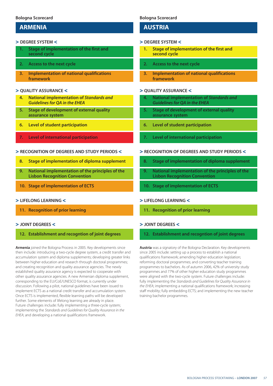## **ARMENIA**

#### > **DEGREE SYSTEM** <

- **1. Stage of implementation of the first and second cycle**
- **2. Access to the next cycle**
- **3. Implementation of national qualifications framework**

#### > **QUALITY ASSURANCE** <

- **4. National implementation of** *Standards and Guidelines for QA in the EHEA*
- **5. Stage of development of external quality assurance system**
- **6. Level of student participation**
- **7. Level of international participation**

#### > **RECOGNITION OF DEGREES AND STUDY PERIODS** <

- **8. Stage of implementation of diploma supplement**
- **9. National implementation of the principles of the Lisbon Recognition Convention**
- **10. Stage of implementation of ECTS**

#### > **LIFELONG LEARNING** <

**11. Recognition of prior learning** 

#### > **JOINT DEGREES** <

#### **12. Establishment and recogntion of joint degrees**

**Armenia** joined the Bologna Process in 2005. Key developments since then include: introducing a two-cycle degree system, a credit transfer and accumulation system and diploma supplements; developing greater links between higher education and research through doctoral programmes; and creating recognition and quality assurance agencies. The newly established quality assurance agency is expected to cooperate with other quality assurance agencies. A new Armenian diploma supplement, corresponding to the EU/CoE/UNESCO format, is currently under discussion. Following a pilot, national guidelines have been issued to implement ECTS as a national credit transfer and accumulation system. Once ECTS is implemented, flexible learning paths will be developed further. Some elements of lifelong learning are already in place. Future challenges include: fully implementing a three-cycle system; implementing the *Standards and Guidelines for Quality Assurance in the EHEA*; and developing a national qualifications framework.

#### **Bologna Scorecard**

## **AUSTRIA**

#### > **DEGREE SYSTEM** <

- **1. Stage of implementation of the first and second cycle**
- **2. Access to the next cycle**
- **3. Implementation of national qualifications framework**

#### > **QUALITY ASSURANCE** <

- **4. National implementation of** *Standards and Guidelines for QA in the EHEA*
- **5. Stage of development of external quality assurance system**
- **6. Level of student participation**
- **7. Level of international participation**

#### > **RECOGNITION OF DEGREES AND STUDY PERIODS** <

- **8. Stage of implementation of diploma supplement**
- **9. National implementation of the principles of the Lisbon Recognition Convention**
- **10. Stage of implementation of ECTS**

#### > **LIFELONG LEARNING** <

**11. Recognition of prior learning** 

#### > **JOINT DEGREES** <

#### **12. Establishment and recogntion of joint degrees**

**Austria** was a signatory of the Bologna Declaration. Key developments since 2005 include: setting up a process to establish a national qualifications framework; amending higher education legislation; reforming doctoral programmes; and converting teacher training programmes to bachelors. As of autumn 2006, 42% of university study programmes and 77% of other higher education study programmes were aligned with the two-cycle system. Future challenges include: fully implementing the *Standards and Guidelines for Quality Assurance in the EHEA*; implementing a national qualifications framework; increasing staff mobility; fully embedding ECTS; and implementing the new teacher training bachelor programmes.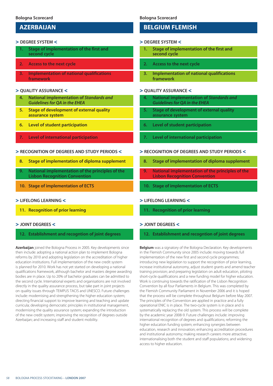## **AZERBAIJAN**

#### > **DEGREE SYSTEM** <

- **1. Stage of implementation of the first and second cycle**
- **2. Access to the next cycle**
- **3. Implementation of national qualifications framework**

#### > **QUALITY ASSURANCE** <

- **4. National implementation of** *Standards and Guidelines for QA in the EHEA*
- **5. Stage of development of external quality assurance system**
- **6. Level of student participation**
- **7. Level of international participation**

#### > **RECOGNITION OF DEGREES AND STUDY PERIODS** <

- **8. Stage of implementation of diploma supplement**
- **9. National implementation of the principles of the Lisbon Recognition Convention**
- **10. Stage of implementation of ECTS**

#### > **LIFELONG LEARNING** <

**11. Recognition of prior learning** 

#### > **JOINT DEGREES** <

#### **12. Establishment and recogntion of joint degrees**

**Azerbaijan** joined the Bologna Process in 2005. Key developments since then include: adopting a national action plan to implement Bologna reforms by 2010 and adopting legislation on the accreditation of higher education institutions. Full implementation of the new credit system is planned for 2010. Work has not yet started on developing a national qualifications framework, although bachelor and masters degree awarding bodies are in place. Up to 20% of bachelor graduates can be admitted to the second cycle. International experts and organisations are not involved directly in the quality assurance process, but take part in joint projects on quality issues through TEMPUS TACIS and UNESCO. Future challenges include: modernising and strengthening the higher education system; directing financial support to improve learning and teaching and update curricula; developing democratic principles in institutional management, modernising the quality assurance system; expanding the introduction of the new credit system; improving the recognition of degrees outside Azerbaijan; and increasing staff and student mobility.

**Bologna Scorecard**

## **BELGIUM FLEMISH**

#### > **DEGREE SYSTEM** <

- **1. Stage of implementation of the first and second cycle**
- **2. Access to the next cycle**
- **3. Implementation of national qualifications framework**

#### > **QUALITY ASSURANCE** <

- **4. National implementation of** *Standards and Guidelines for QA in the EHEA*
- **5. Stage of development of external quality assurance system**
- **6. Level of student participation**
- **7. Level of international participation**

#### > **RECOGNITION OF DEGREES AND STUDY PERIODS** <

- **8. Stage of implementation of diploma supplement**
- **9. National implementation of the principles of the Lisbon Recognition Convention**
- **10. Stage of implementation of ECTS**

#### > **LIFELONG LEARNING** <

**11. Recognition of prior learning** 

#### > **JOINT DEGREES** <

#### **12. Establishment and recogntion of joint degrees**

**Belgium** was a signatory of the Bologna Declaration. Key developments in the Flemish Community since 2005 include: moving towards full implementation of the new first and second cycle programmes; introducing new legislation to support the recognition of prior learning, increase institutional autonomy, adjust student grants and amend teacher training provision; and preparing legislation on adult education, piloting short-cycle qualifications and a new funding model for higher education. Work is continuing towards the ratification of the Lisbon Recognition Convention by all four Parliaments in Belgium. This was completed by the Flemish Community Parliament in November 2006 and it is hoped that the process will be complete throughout Belgium before May 2007. The principles of the Convention are applied in practice and a fully operational ENIC is in place. The two-cycle system is in place and is systematically replacing the old system. This process will be complete by the academic year 2008-9. Future challenges include: improving international recognition of degrees and qualifications; reforming the higher education funding system; enhancing synergies between education, research and innovation; enhancing accreditation procedures and institutional autonomy; making research careers more attractive; internationalising both the student and staff populations; and widening access to higher education.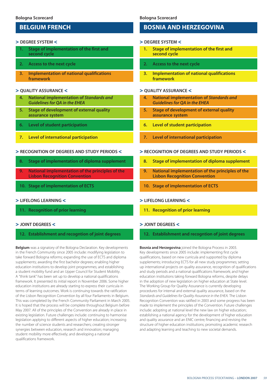## **BELGIUM FRENCH**

#### > **DEGREE SYSTEM** <

- **1. Stage of implementation of the first and second cycle**
- **2. Access to the next cycle**
- **3. Implementation of national qualifications framework**

#### > **QUALITY ASSURANCE** <

- **4. National implementation of** *Standards and Guidelines for QA in the EHEA*
- **5. Stage of development of external quality assurance system**
- **6. Level of student participation**
- **7. Level of international participation**

#### > **RECOGNITION OF DEGREES AND STUDY PERIODS** <

- **8. Stage of implementation of diploma supplement**
- **9. National implementation of the principles of the Lisbon Recognition Convention**
- **10. Stage of implementation of ECTS**

#### > **LIFELONG LEARNING** <

**11. Recognition of prior learning** 

#### > **JOINT DEGREES** <

#### **12. Establishment and recogntion of joint degrees**

**Belgium** was a signatory of the Bologna Declaration. Key developments in the French Community since 2005 include: modifying legislation to take forward Bologna reforms; expanding the use of ECTS and diploma supplements; awarding the first bachelor degrees; enabling higher education institutions to develop joint programmes; and establishing a student mobility fund and an Upper Council for Student Mobility. A "think tank" has been set up to develop a national qualifications framework. It presented its initial report in November 2006. Some higher education institutions are already starting to express their curricula in terms of learning outcomes. Work is continuing towards the ratification of the Lisbon Recognition Convention by all four Parliaments in Belgium. This was completed by the French Community Parliament in March 2005. It is hoped that the process will be complete throughout Belgium before May 2007. All of the principles of the Convention are already in place in existing legislation. Future challenges include: continuing to harmonise legislation applying to different aspects of higher education; increasing the number of science students and researchers; creating stronger synergies between education, research and innovation; managing student mobility more effectively; and developing a national qualifications framework.

**Bologna Scorecard**

## **BOSNIA AND HERZEGOVINA**

#### > **DEGREE SYSTEM** <

- **1. Stage of implementation of the first and second cycle**
- **2. Access to the next cycle**
- **3. Implementation of national qualifications framework**

#### > **QUALITY ASSURANCE** <

- **4. National implementation of** *Standards and Guidelines for QA in the EHEA*
- **5. Stage of development of external quality assurance system**
- **6. Level of student participation**
- **7. Level of international participation**

#### > **RECOGNITION OF DEGREES AND STUDY PERIODS** <

- **8. Stage of implementation of diploma supplement**
- **9. National implementation of the principles of the Lisbon Recognition Convention**
- **10. Stage of implementation of ECTS**

#### > **LIFELONG LEARNING** <

**11. Recognition of prior learning** 

#### > **JOINT DEGREES** <

**12. Establishment and recogntion of joint degrees**

**Bosnia and Herzegovina** joined the Bologna Process in 2003. Key developments since 2005 include: implementing first cycle qualifications, based on new curricula and supported by diploma supplements; introducing ECTS for all new study programmes; setting up international projects on quality assurance, recognition of qualifications and study periods and a national qualifications framework; and higher education institutions taking forward Bologna reforms, despite delays in the adoption of new legislation on higher education at State level. The Working Group for Quality Assurance is currently developing procedures for internal and external quality assurance, based on the *Standards and Guidelines for Quality Assurance in the EHEA.* The Lisbon Recognition Convention was ratified in 2003 and some progress has been made to implement the principles of the Convention. Future challenges include: adopting at national level the new law on higher education; establishing a national agency for the development of higher education and quality assurance and an ENIC centre; financing and revising the structure of higher education institutions; promoting academic research and adapting learning and teaching to new societal demands.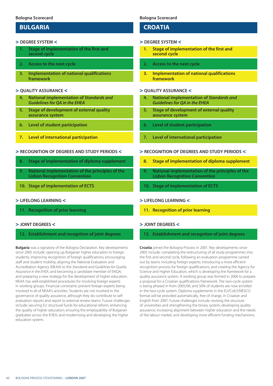## **BULGARIA**

#### > **DEGREE SYSTEM** <

- **1. Stage of implementation of the first and second cycle**
- **2. Access to the next cycle**
- **3. Implementation of national qualifications framework**

#### > **QUALITY ASSURANCE** <

- **4. National implementation of** *Standards and Guidelines for QA in the EHEA*
- **5. Stage of development of external quality assurance system**
- **6. Level of student participation**
- **7. Level of international participation**

#### > **RECOGNITION OF DEGREES AND STUDY PERIODS** <

- **8. Stage of implementation of diploma supplement**
- **9. National implementation of the principles of the Lisbon Recognition Convention**
- **10. Stage of implementation of ECTS**

#### > **LIFELONG LEARNING** <

**11. Recognition of prior learning** 

#### > **JOINT DEGREES** <

#### **12. Establishment and recogntion of joint degrees**

**Bulgaria** was a signatory of the Bologna Declaration. Key developments since 2005 include: opening up Bulgarian higher education to foreign students; improving recognition of foreign qualifications; encouraging staff and student mobility; aligning the National Evaluation and Accreditation Agency (NEAA) to the *Standards and Guidelines for Quality Assurance in the EHEA*, and becoming a candidate member of ENQA; and preparing a new strategy for the development of higher education. NEAA has well-established procedures for involving foreign experts in working groups. Financial constraints prevent foreign experts being involved in all of NEAA's activities. Students are not involved in the governance of quality assurance, although they do contribute to self evaluation reports and report to external review teams. Future challenges include: securing EU structural funds for educational reform; enhancing the quality of higher education; ensuring the employability of Bulgarian graduates across the EHEA; and modernising and developing the higher education system.

#### **Bologna Scorecard**

## **CROATIA**

#### > **DEGREE SYSTEM** <

- **1. Stage of implementation of the first and second cycle**
- **2. Access to the next cycle**
- **3. Implementation of national qualifications framework**

#### > **QUALITY ASSURANCE** <

- **4. National implementation of** *Standards and Guidelines for QA in the EHEA*
- **5. Stage of development of external quality assurance system**
- **6. Level of student participation**
- **7. Level of international participation**

#### > **RECOGNITION OF DEGREES AND STUDY PERIODS** <

- **8. Stage of implementation of diploma supplement**
- **9. National implementation of the principles of the Lisbon Recognition Convention**
- **10. Stage of implementation of ECTS**

#### > **LIFELONG LEARNING** <

**11. Recognition of prior learning** 

#### > **JOINT DEGREES** <

#### **12. Establishment and recogntion of joint degrees**

**Croatia** joined the Bologna Process in 2001. Key developments since 2005 include: completing the restructuring of all study programmes into the first and second cycle, following an evaluation programme carried out by teams including foreign experts; introducing a more efficient recognition process for foreign qualifications; and creating the Agency for Science and Higher Education, which is developing the framework for a quality assurance system. A working group was formed in 2006 to prepare a proposal for a Croatian qualifications framework. The two-cycle system is being phased in from 2005/06, and 50% of students are now enrolled in the two-cycle system. Diploma supplements in the EU/CoE/UNESCO format will be provided automatically, free of charge, in Croatian and English from 2007. Future challenges include: revising the structure of universities and strengthening the binary system; developing quality assurance; increasing alignment between higher education and the needs of the labour market; and developing more efficient funding mechanisms.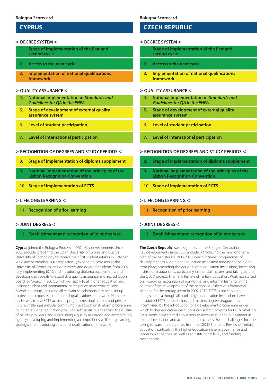## **CYPRUS**

#### > **DEGREE SYSTEM** <

- **1. Stage of implementation of the first and second cycle**
- **2. Access to the next cycle**
- **3. Implementation of national qualifications framework**

#### > **QUALITY ASSURANCE** <

- **4. National implementation of** *Standards and Guidelines for QA in the EHEA*
- **5. Stage of development of external quality assurance system**
- **6. Level of student participation**
- **7. Level of international participation**

#### > **RECOGNITION OF DEGREES AND STUDY PERIODS** <

- **8. Stage of implementation of diploma supplement**
- **9. National implementation of the principles of the Lisbon Recognition Convention**
- **10. Stage of implementation of ECTS**

#### > **LIFELONG LEARNING** <

**11. Recognition of prior learning** 

#### > **JOINT DEGREES** <

#### **12. Establishment and recogntion of joint degrees**

**Cyprus** joined the Bologna Process in 2001. Key developments since 2005 include: preparing the Open University of Cyprus and Cyprus University of Technology to receive their first student intakes in October 2006 and September 2007 respectively; expanding provision at the University of Cyprus to include masters and doctoral students from 2007; fully implementing ECTS and introducing diploma supplements; and developing proposals to establish a quality assurance and accreditation board for Cyprus in 2007, which will apply to all higher education and include student and international participation in external reviews. A working group, including all relevant stakeholders, has been set up to develop proposals for a national qualifications framework. Plans are under way to use ECTS across all programmes, both public and private. Future challenges include: continuing the educational reform programme to increase higher education provision substantially, enhancing the quality of private providers, and establishing a quality assurance and accreditation agency; developing and implementing a comprehensive lifelong learning strategy; and introducing a national qualifications framework.

#### **Bologna Scorecard**

## **CZECH REPUBLIC**

#### > **DEGREE SYSTEM** <

- **1. Stage of implementation of the first and second cycle**
- **2. Access to the next cycle**
- **3. Implementation of national qualifications framework**

#### > **QUALITY ASSURANCE** <

- **4. National implementation of** *Standards and Guidelines for QA in the EHEA*
- **5. Stage of development of external quality assurance system**
- **6. Level of student participation**
- **7. Level of international participation**

#### > **RECOGNITION OF DEGREES AND STUDY PERIODS** <

- **8. Stage of implementation of diploma supplement**
- **9. National implementation of the principles of the Lisbon Recognition Convention**
- **10. Stage of implementation of ECTS**

#### > **LIFELONG LEARNING** <

**11. Recognition of prior learning** 

#### > **JOINT DEGREES** <

#### **12. Establishment and recogntion of joint degrees**

**The Czech Republic** was a signatory of the Bologna Declaration. Key developments since 2005 include: introducing the new long term plan of the Ministry for 2006-2010, which includes programmes of development to align higher education institution funding to their long term plans; amending the Act on higher education institutions; increasing institutional autonomy, particularly in financial matters; and taking part in the OECD project, Thematic Review of Tertiary Education. Work has started on improving recognition of non-formal and informal learning, in the context of the development of the national qualifications framework, planned for the tertiary sector in 2007-2010. ECTS is not stipulated in legislation, although all public higher education institutions have introduced ECTS for bachelors and masters degree programmes, incentivised by the introduction of a development programme under which higher education institutions can submit projects for ECTS 'labelling'. Discussions have started about how to increase student involvement in external evaluation and accreditation processes. Future challenges include: taking forward the outcomes from the OECD Thematic Review of Tertiary Education, particularly the higher education system, governance and leadership at national as well as at institutional level, and funding mechanisms.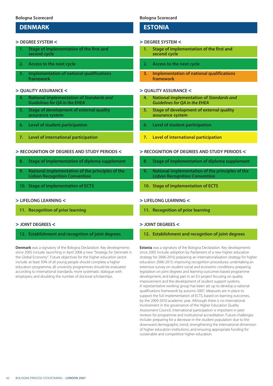## **DENMARK**

#### > **DEGREE SYSTEM** <

- **1. Stage of implementation of the first and second cycle**
- **2. Access to the next cycle**
- **3. Implementation of national qualifications framework**

#### > **QUALITY ASSURANCE** <

- **4. National implementation of** *Standards and Guidelines for QA in the EHEA*
- **5. Stage of development of external quality assurance system**
- **6. Level of student participation**
- **7. Level of international participation**

#### > **RECOGNITION OF DEGREES AND STUDY PERIODS** <

- **8. Stage of implementation of diploma supplement**
- **9. National implementation of the principles of the Lisbon Recognition Convention**
- **10. Stage of implementation of ECTS**

#### > **LIFELONG LEARNING** <

**11. Recognition of prior learning** 

#### > **JOINT DEGREES** <

#### **12. Establishment and recogntion of joint degrees**

**Denmark** was a signatory of the Bologna Declaration. Key developments since 2005 include: launching in April 2006 a new "Strategy for Denmark in the Global Economy". Future objectives for the higher education sector include: at least 50% of all young people should complete a higher education programme; all university programmes should be evaluated according to international standards; more systematic dialogue with employers; and doubling the number of doctoral scholarships.

#### **Bologna Scorecard**

## **ESTONIA**

#### > **DEGREE SYSTEM** <

- **1. Stage of implementation of the first and second cycle**
- **2. Access to the next cycle**
- **3. Implementation of national qualifications framework**

#### > **QUALITY ASSURANCE** <

- **4. National implementation of** *Standards and Guidelines for QA in the EHEA*
- **5. Stage of development of external quality assurance system**
- **6. Level of student participation**
- **7. Level of international participation**

#### > **RECOGNITION OF DEGREES AND STUDY PERIODS** <

- **8. Stage of implementation of diploma supplement**
- **9. National implementation of the principles of the Lisbon Recognition Convention**
- **10. Stage of implementation of ECTS**

#### > **LIFELONG LEARNING** <

**11. Recognition of prior learning** 

#### > **JOINT DEGREES** <

**12. Establishment and recogntion of joint degrees**

**Estonia** was a signatory of the Bologna Declaration. Key developments since 2005 include: adoption by Parliament of a new higher education strategy for 2006-2016; preparing an internationalisation strategy for higher education 2006-2015; improving recognition procedures; undertaking an extensive survey on student social and economic conditions; preparing legislation on joint degrees and learning outcomes-based programme development; and taking part in an EU project focusing on quality improvement and the development of student support systems. A representative working group has been set up to develop a national qualifications framework by autumn 2007. Measures are in place to support the full implementation of ECTS, based on learning outcomes, by the 2009-2010 academic year. Although there is no international involvement in the governance of the Higher Education Quality Assessment Council, international participation is important in peer reviews for programme and institutional accreditation. Future challenges include: preparing for a decrease in the student population due to the downward demographic trend; strengthening the international dimension of higher education institutions; and ensuring appropriate funding for sustainable and competitive higher education.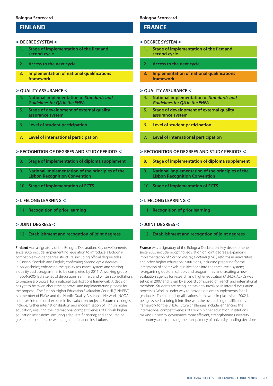## **FINLAND**

#### > **DEGREE SYSTEM** <

- **1. Stage of implementation of the first and second cycle**
- **2. Access to the next cycle**
- **3. Implementation of national qualifications framework**

#### > **QUALITY ASSURANCE** <

- **4. National implementation of** *Standards and Guidelines for QA in the EHEA*
- **5. Stage of development of external quality assurance system**
- **6. Level of student participation**
- **7. Level of international participation**

#### > **RECOGNITION OF DEGREES AND STUDY PERIODS** <

- **8. Stage of implementation of diploma supplement**
- **9. National implementation of the principles of the Lisbon Recognition Convention**
- **10. Stage of implementation of ECTS**

#### > **LIFELONG LEARNING** <

**11. Recognition of prior learning** 

#### > **JOINT DEGREES** <

#### **12. Establishment and recogntion of joint degrees**

**Finland** was a signatory of the Bologna Declaration. Key developments since 2005 include: implementing legislation to introduce a Bolognacompatible two-tier degree structure, including official degree titles in Finnish, Swedish and English; confirming second cycle degrees in polytechnics; enhancing the quality assurance system and starting a quality audit programme, to be completed by 2011. A working group in 2004-2005 led a series of discussions, seminars and written consultations to prepare a proposal for a national qualifications framework. A decision has yet to be taken about the approval and implementation process for the proposal. The Finnish Higher Education Evaluation Council (FINHEEC) is a member of ENQA and the Nordic Quality Assurance Network (NOQA), and uses international experts in its evaluation projects. Future challenges include: further internationalisation and modernisation of Finnish higher education; ensuring the international competitiveness of Finnish higher education institutions; ensuring adequate financing; and encouraging greater cooperation between higher education institutions.

#### **Bologna Scorecard**

## **FRANCE**

#### > **DEGREE SYSTEM** <

- **1. Stage of implementation of the first and second cycle**
- **2. Access to the next cycle**
- **3. Implementation of national qualifications framework**

#### > **QUALITY ASSURANCE** <

- **4. National implementation of** *Standards and Guidelines for QA in the EHEA*
- **5. Stage of development of external quality assurance system**
- **6. Level of student participation**
- **7. Level of international participation**

#### > **RECOGNITION OF DEGREES AND STUDY PERIODS** <

- **8. Stage of implementation of diploma supplement**
- **9. National implementation of the principles of the Lisbon Recognition Convention**
- **10. Stage of implementation of ECTS**

#### > **LIFELONG LEARNING** <

**11. Recognition of prior learning** 

#### > **JOINT DEGREES** <

#### **12. Establishment and recogntion of joint degrees**

**France** was a signatory of the Bologna Declaration. Key developments since 2005 include: adopting legislation on joint degrees; expanding implementation of *Licence, Master, Doctorat* (LMD) reforms in universities and other higher education institutions, including preparing for the integration of short cycle qualifications into the three cycle system; re-organising doctoral schools and programmes; and creating a new evaluation agency for research and higher education (AERES). AERES was set up in 2007 and is run by a board composed of French and international members. Students are being increasingly involved in internal evaluation processes. Work is under way to provide diploma supplements for all graduates. The national qualifications framework in place since 2002 is being revised to bring it into line with the overarching qualifications framework for the EHEA. Future challenges include: enhancing the international competitiveness of French higher education institutions; making university governance more efficient; strengthening university autonomy; and improving the transparency of university funding decisions.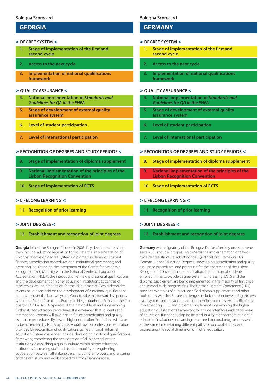## **GEORGIA**

#### > **DEGREE SYSTEM** <

- **1. Stage of implementation of the first and second cycle**
- **2. Access to the next cycle**
- **3. Implementation of national qualifications framework**

#### > **QUALITY ASSURANCE** <

- **4. National implementation of** *Standards and Guidelines for QA in the EHEA*
- **5. Stage of development of external quality assurance system**
- **6. Level of student participation**
- **7. Level of international participation**

#### > **RECOGNITION OF DEGREES AND STUDY PERIODS** <

- **8. Stage of implementation of diploma supplement**
- **9. National implementation of the principles of the Lisbon Recognition Convention**
- **10. Stage of implementation of ECTS**

#### > **LIFELONG LEARNING** <

**11. Recognition of prior learning** 

#### > **JOINT DEGREES** <

#### **12. Establishment and recogntion of joint degrees**

**Georgia** joined the Bologna Process in 2005. Key developments since then include: adopting legislation to facilitate the implementation of Bologna reforms on degree systems, diploma supplements, student finance, accreditation procedures and institutional governance; and preparing legislation on the integration of the Centre for Academic Recognition and Mobility with the National Centre of Education Accreditation (NCEA), the introduction of new professional qualifications, and the development of higher education institutions as centres of research as well as preparation for the labour market. Two stakeholder events have been held on the development of a national qualifications framework over the last two years. Work to take this forward is a priority within the Action Plan of the European Neighbourhood Policy for the first quarter of 2007. NCEA operates at the national level and is developing further its accreditation procedures. It is envisaged that students and international experts will take part in future accreditation and quality assurance procedures. By law, all higher education institutions will have to be accredited by NCEA by 2008. A draft law on professional education provides for recognition of qualifications gained through informal education. Future challenges include: developing a national qualifications framework; completing the accreditation of all higher education institutions; establishing a quality culture within higher education institutions; increasing staff and student mobility; strengthening cooperation between all stakeholders, including employers; and ensuring citizens can study and work abroad free from discrimination.

#### **Bologna Scorecard**

## **GERMANY**

#### > **DEGREE SYSTEM** <

- **1. Stage of implementation of the first and second cycle**
- **2. Access to the next cycle**
- **3. Implementation of national qualifications framework**

#### > **QUALITY ASSURANCE** <

- **4. National implementation of** *Standards and Guidelines for QA in the EHEA*
- **5. Stage of development of external quality assurance system**
- **6. Level of student participation**
- **7. Level of international participation**

#### > **RECOGNITION OF DEGREES AND STUDY PERIODS** <

- **8. Stage of implementation of diploma supplement**
- **9. National implementation of the principles of the Lisbon Recognition Convention**
- **10. Stage of implementation of ECTS**

#### > **LIFELONG LEARNING** <

**11. Recognition of prior learning** 

#### > **JOINT DEGREES** <

#### **12. Establishment and recogntion of joint degrees**

**Germany** was a signatory of the Bologna Declaration. Key developments since 2005 include: progressing towards the implementation of a twocycle degree structure; adopting the "Qualifications Framework for German Higher Education Degrees"; developing accreditation and quality assurance procedures; and preparing for the enactment of the Lisbon Recognition Convention after ratification. The number of students enrolled in the two-cycle degree system is increasing. ECTS and the diploma supplement are being implemented in the majority of first cycle and second cycle programmes. The German Rectors' Conference (HRK) provides examples of subject specific diploma supplements and other tools on its website. Future challenges include: further developing the twocycle system and the acceptance of bachelors and masters qualifications; implementing ECTS and diploma supplements; developing the higher education qualifications framework to include interfaces with other areas of education; further developing internal quality management at higher education institutions; enhancing structured doctoral programmes while at the same time retaining different paths for doctoral studies; and progressing the social dimension of higher education.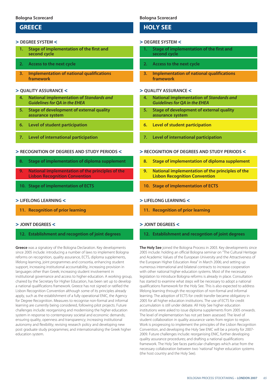## **GREECE**

#### > **DEGREE SYSTEM** <

- **1. Stage of implementation of the first and second cycle**
- **2. Access to the next cycle**
- **3. Implementation of national qualifications framework**

#### > **QUALITY ASSURANCE** <

- **4. National implementation of** *Standards and Guidelines for QA in the EHEA*
- **5. Stage of development of external quality assurance system**
- **6. Level of student participation**
- **7. Level of international participation**

#### > **RECOGNITION OF DEGREES AND STUDY PERIODS** <

- **8. Stage of implementation of diploma supplement**
- **9. National implementation of the principles of the Lisbon Recognition Convention**
- **10. Stage of implementation of ECTS**

#### > **LIFELONG LEARNING** <

**11. Recognition of prior learning** 

#### > **JOINT DEGREES** <

#### **12. Establishment and recogntion of joint degrees**

**Greece** was a signatory of the Bologna Declaration. Key developments since 2005 include: introducing a number of laws to implement Bologna reforms on recognition, quality assurance, ECTS, diploma supplements, lifelong learning, joint programmes and consortia, enhancing student support, increasing institutional accountability, increasing provision in languages other than Greek; increasing student involvement in institutional governance and access to higher education. A working group, chaired by the Secretary for Higher Education, has been set up to develop a national qualifications framework. Greece has not signed or ratified the Lisbon Recognition Convention although some of its principles already apply, such as the establishment of a fully operational ENIC, the Agency for Degree Recognition. Measures to recognise non-formal and informal learning are currently being considered, following pilot projects. Future challenges include: reorganising and modernising the higher education system in response to contemporary societal and economic demands; ensuring quality, openness and transparency; increasing institutional autonomy and flexibility; revising research policy and developing new post graduate study programmes; and internationalising the Greek higher education system.

#### **Bologna Scorecard**

## **HOLY SEE**

#### > **DEGREE SYSTEM** <

- **1. Stage of implementation of the first and second cycle**
- **2. Access to the next cycle**
- **3. Implementation of national qualifications framework**

#### > **QUALITY ASSURANCE** <

- **4. National implementation of** *Standards and Guidelines for QA in the EHEA*
- **5. Stage of development of external quality assurance system**
- **6. Level of student participation**
- **7. Level of international participation**

#### > **RECOGNITION OF DEGREES AND STUDY PERIODS** <

- **8. Stage of implementation of diploma supplement**
- **9. National implementation of the principles of the Lisbon Recognition Convention**
- **10. Stage of implementation of ECTS**

#### > **LIFELONG LEARNING** <

**11. Recognition of prior learning** 

#### > **JOINT DEGREES** <

#### **12. Establishment and recogntion of joint degrees**

**The Holy See** joined the Bologna Process in 2003. Key developments since 2005 include: holding an official Bologna seminar on "The Cultural Heritage and Academic Values of the European University and the Attractiveness of the European Higher Education Area" in March 2006; and setting up numerous international and bilateral contracts to increase cooperation with other national higher education systems. Most of the necessary legislation to introduce Bologna reforms is already in place. Consultation has started to examine what steps will be necessary to adopt a national qualifications framework for the Holy See. This is also expected to address lifelong learning through the recognition of non-formal and informal learning. The adoption of ECTS for credit transfer became obligatory in 2005 for all higher education institutions. The use of ECTS for credit accumulation is still under debate. All Holy See higher education institutions were asked to issue diploma supplements from 2005 onwards. The level of implementation has not yet been assessed. The level of student collaboration in quality assurance varies from region to region. Work is progressing to implement the principles of the Lisbon Recognition Convention, and developing the Holy See ENIC will be a priority for 2007- 2009. Future challenges include: reorganising ENIC, further developing quality assurance procedures; and drafting a national qualifications framework. The Holy See faces particular challenges which arise from the necessary collaboration between two 'national' higher education systems (the host country and the Holy See).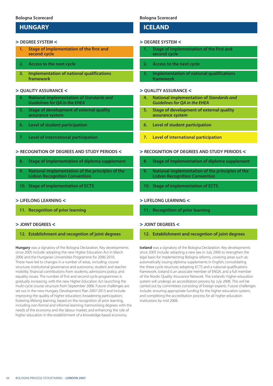## **HUNGARY**

#### > **DEGREE SYSTEM** <

- **1. Stage of implementation of the first and second cycle**
- **2. Access to the next cycle**
- **3. Implementation of national qualifications framework**

#### > **QUALITY ASSURANCE** <

- **4. National implementation of** *Standards and Guidelines for QA in the EHEA*
- **5. Stage of development of external quality assurance system**
- **6. Level of student participation**
- **7. Level of international participation**

#### > **RECOGNITION OF DEGREES AND STUDY PERIODS** <

- **8. Stage of implementation of diploma supplement**
- **9. National implementation of the principles of the Lisbon Recognition Convention**
- **10. Stage of implementation of ECTS**

#### > **LIFELONG LEARNING** <

**11. Recognition of prior learning** 

#### > **JOINT DEGREES** <

#### **12. Establishment and recogntion of joint degrees**

**Hungary** was a signatory of the Bologna Declaration. Key developments since 2005 include: adopting the new Higher Education Act in March 2006 and the Hungarian Universities Programme for 2006-2010. These have led to changes in a number of areas, including: course structure; institutional governance and autonomy; student and teacher mobility; financial contributions from students; admissions policy; and equality issues. The number of first and second cycle programmes is gradually increasing, with the new Higher Education Act launching the multi-cycle course structure from September 2006. Future challenges are set out in the new Hungary Development Plan 2007-2013 and include: improving the quality of higher education; broadening participation; fostering lifelong learning, based on the recognition of prior learning, including non-formal and informal learning; harmonising degrees with the needs of the economy and the labour market; and enhancing the role of higher education in the establishment of a knowledge based economy.

#### **Bologna Scorecard**

## **ICELAND**

#### > **DEGREE SYSTEM** <

- **1. Stage of implementation of the first and second cycle**
- **2. Access to the next cycle**
- **3. Implementation of national qualifications framework**

#### > **QUALITY ASSURANCE** <

- **4. National implementation of** *Standards and Guidelines for QA in the EHEA*
- **5. Stage of development of external quality assurance system**
- **6. Level of student participation**
- **7. Level of international participation**

#### > **RECOGNITION OF DEGREES AND STUDY PERIODS** <

- **8. Stage of implementation of diploma supplement**
- **9. National implementation of the principles of the Lisbon Recognition Convention**
- **10. Stage of implementation of ECTS**

#### > **LIFELONG LEARNING** <

**11. Recognition of prior learning** 

#### > **JOINT DEGREES** <

**12. Establishment and recogntion of joint degrees**

**Iceland** was a signatory of the Bologna Declaration. Key developments since 2005 include: adopting a new law in July 2006 to strengthen the legal basis for implementing Bologna reforms, covering areas such as: automatically issuing diploma supplements in English; consolidating the three-cycle structure; adopting ECTS and a national qualifications framework. Iceland is an associate member of ENQA, and a full member of the Nordic Quality Assurance Network. The Icelandic higher education system will undergo an accreditation process by July 2008. This will be carried out by committees consisting of foreign experts. Future challenges include: ensuring appropriate funding for the higher education system, and completing the accreditation process for all higher education institutions by mid 2008.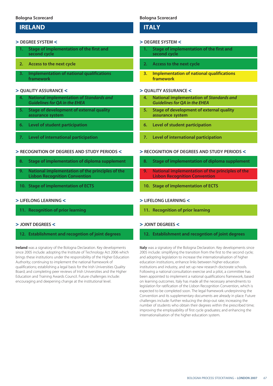## **IRELAND**

#### > **DEGREE SYSTEM** <

- **1. Stage of implementation of the first and second cycle**
- **2. Access to the next cycle**
- **3. Implementation of national qualifications framework**

## > **QUALITY ASSURANCE** <

- **4. National implementation of** *Standards and Guidelines for QA in the EHEA*
- **5. Stage of development of external quality assurance system**
- **6. Level of student participation**
- **7. Level of international participation**

#### > **RECOGNITION OF DEGREES AND STUDY PERIODS** <

- **8. Stage of implementation of diploma supplement**
- **9. National implementation of the principles of the Lisbon Recognition Convention**
- **10. Stage of implementation of ECTS**

## > **LIFELONG LEARNING** <

**11. Recognition of prior learning** 

#### > **JOINT DEGREES** <

## **12. Establishment and recogntion of joint degrees**

**Ireland** was a signatory of the Bologna Declaration. Key developments since 2005 include: adopting the Institute of Technology Act 2006 which brings these institutions under the responsibility of the Higher Education Authority; continuing to implement the national framework of qualifications; establishing a legal basis for the Irish Universities Quality Board; and completing peer reviews of Irish Universities and the Higher Education and Training Awards Council. Future challenges include: encouraging and deepening change at the institutional level.

## **Bologna Scorecard**

# **ITALY**

#### > **DEGREE SYSTEM** <

- **1. Stage of implementation of the first and second cycle**
- **2. Access to the next cycle**
- **3. Implementation of national qualifications framework**

## > **QUALITY ASSURANCE** <

- **4. National implementation of** *Standards and Guidelines for QA in the EHEA*
- **5. Stage of development of external quality assurance system**
- **6. Level of student participation**
- **7. Level of international participation**

#### > **RECOGNITION OF DEGREES AND STUDY PERIODS** <

- **8. Stage of implementation of diploma supplement**
- **9. National implementation of the principles of the Lisbon Recognition Convention**
- **10. Stage of implementation of ECTS**

## > **LIFELONG LEARNING** <

**11. Recognition of prior learning** 

## > **JOINT DEGREES** <

## **12. Establishment and recogntion of joint degrees**

**Italy** was a signatory of the Bologna Declaration. Key developments since 2005 include: simplifying the transition from the first to the second cycle; and adopting legislation to increase the internationalisation of higher education institutions, enhance links between higher education institutions and industry, and set up new research doctorate schools. Following a national consultation exercise and a pilot, a committee has been appointed to implement a national qualifications framework, based on learning outcomes. Italy has made all the necessary amendments to legislation for ratification of the Lisbon Recognition Convention, which is expected to be completed soon. The legal framework underpinning the Convention and its supplementary documents are already in place. Future challenges include: further reducing the drop-out rate; increasing the number of students who obtain their degrees within the prescribed time; improving the employability of first cycle graduates; and enhancing the internationalisation of the higher education system.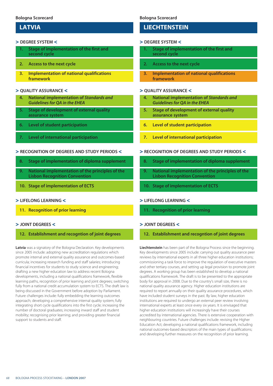## **LATVIA**

#### > **DEGREE SYSTEM** <

- **1. Stage of implementation of the first and second cycle**
- **2. Access to the next cycle**
- **3. Implementation of national qualifications framework**

## > **QUALITY ASSURANCE** <

- **4. National implementation of** *Standards and Guidelines for QA in the EHEA*
- **5. Stage of development of external quality assurance system**
- **6. Level of student participation**
- **7. Level of international participation**

## > **RECOGNITION OF DEGREES AND STUDY PERIODS** <

- **8. Stage of implementation of diploma supplement**
- **9. National implementation of the principles of the Lisbon Recognition Convention**
- **10. Stage of implementation of ECTS**

## > **LIFELONG LEARNING** <

**11. Recognition of prior learning** 

## > **JOINT DEGREES** <

## **12. Establishment and recogntion of joint degrees**

**Latvia** was a signatory of the Bologna Declaration. Key developments since 2005 include: adopting new accreditation regulations which promote internal and external quality assurance and outcomes-based curricula; increasing research funding and staff salaries; introducing financial incentives for students to study science and engineering; drafting a new higher education law to address recent Bologna developments, including a national qualifications framework, flexible learning paths, recognition of prior learning and joint degrees; switching fully from a national credit accumulation system to ECTS. The draft law is being discussed in the Government before adoption by Parliament. Future challenges include: fully embedding the learning outcomes approach; developing a comprehensive internal quality system; fully integrating short cycle qualifications into the first cycle; increasing the number of doctoral graduates; increasing inward staff and student mobility; recognising prior learning; and providing greater financial support to students and staff.

## **Bologna Scorecard**

# **LIECHTENSTEIN**

#### > **DEGREE SYSTEM** <

- **1. Stage of implementation of the first and second cycle**
- **2. Access to the next cycle**
- **3. Implementation of national qualifications framework**

## > **QUALITY ASSURANCE** <

- **4. National implementation of** *Standards and Guidelines for QA in the EHEA*
- **5. Stage of development of external quality assurance system**
- **6. Level of student participation**
- **7. Level of international participation**

## > **RECOGNITION OF DEGREES AND STUDY PERIODS** <

- **8. Stage of implementation of diploma supplement**
- **9. National implementation of the principles of the Lisbon Recognition Convention**
- **10. Stage of implementation of ECTS**

## > **LIFELONG LEARNING** <

**11. Recognition of prior learning** 

## > **JOINT DEGREES** <

**12. Establishment and recogntion of joint degrees**

**Liechtenstein** has been part of the Bologna Process since the beginning. Key developments since 2005 include: carrying out quality assurance peer reviews by international experts in all three higher education institutions; commissioning a task force to improve the regulation of executive masters and other tertiary courses, and setting up legal provision to promote joint degrees. A working group has been established to develop a national qualifications framework. The draft is to be presented to the appropriate body for approval in 2008. Due to the country's small size, there is no national quality assurance agency. Higher education institutions are required to report annually on their quality assurance procedures, which have included student surveys in the past. By law, higher education institutions are required to undergo an external peer review involving international experts at least once every six years. It is envisaged that higher education institutions will increasingly have their courses accredited by international agencies. There is extensive cooperation with neighbouring countries. Future challenges include: revising the Higher Education Act; developing a national qualifications framework, including national outcomes-based descriptors of the main types of qualifications; and developing further measures on the recognition of prior learning.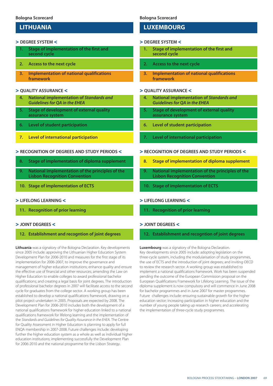# **LITHUANIA**

#### > **DEGREE SYSTEM** <

- **1. Stage of implementation of the first and second cycle**
- **2. Access to the next cycle**
- **3. Implementation of national qualifications framework**

### > **QUALITY ASSURANCE** <

- **4. National implementation of** *Standards and Guidelines for QA in the EHEA*
- **5. Stage of development of external quality assurance system**
- **6. Level of student participation**
- **7. Level of international participation**

## > **RECOGNITION OF DEGREES AND STUDY PERIODS** <

- **8. Stage of implementation of diploma supplement**
- **9. National implementation of the principles of the Lisbon Recognition Convention**
- **10. Stage of implementation of ECTS**

## > **LIFELONG LEARNING** <

**11. Recognition of prior learning** 

## > **JOINT DEGREES** <

## **12. Establishment and recogntion of joint degrees**

**Lithuania** was a signatory of the Bologna Declaration. Key developments since 2005 include: approving the Lithuanian Higher Education System Development Plan for 2006-2010 and measures for the first stage of its implementation for 2006-2007, to improve the governance and management of higher education institutions; enhance quality and ensure the effective use of financial and other resources; amending the Law on Higher Education to enable colleges to award professional bachelor qualifications; and creating a legal basis for joint degrees. The introduction of professional bachelor degrees in 2007 will facilitate access to the second cycle for graduates from the college sector. A working group has been established to develop a national qualifications framework, drawing on a pilot project undertaken in 2005. Proposals are expected by 2008. The Development Plan for 2006-2010 includes both the development of a national qualifications framework for higher education linked to a national qualifications framework for lifelong learning and the implementation of the *Standards and Guidelines for Quality Assurance in the EHEA.* The Centre for Quality Assessment in Higher Education is planning to apply for full ENQA membership in 2007-2008. Future challenges include: developing further the higher education system as a whole as well as individual higher education institutions; implementing successfully the Development Plan for 2006-2010 and the national programme for the Lisbon Strategy.

**Bologna Scorecard**

## **LUXEMBOURG**

#### > **DEGREE SYSTEM** <

- **1. Stage of implementation of the first and second cycle**
- **2. Access to the next cycle**
- **3. Implementation of national qualifications framework**

## > **QUALITY ASSURANCE** <

- **4. National implementation of** *Standards and Guidelines for QA in the EHEA*
- **5. Stage of development of external quality assurance system**
- **6. Level of student participation**
- **7. Level of international participation**

## > **RECOGNITION OF DEGREES AND STUDY PERIODS** <

- **8. Stage of implementation of diploma supplement**
- **9. National implementation of the principles of the Lisbon Recognition Convention**
- **10. Stage of implementation of ECTS**

## > **LIFELONG LEARNING** <

**11. Recognition of prior learning** 

## > **JOINT DEGREES** <

**12. Establishment and recogntion of joint degrees**

**Luxembourg** was a signatory of the Bologna Declaration.

Key developments since 2005 include: adopting legislation on the three-cycle system, including the modularisation of study programmes, the use of ECTS and the introduction of joint degrees; and inviting OECD to review the research sector. A working group was established to implement a national qualifications framework. Work has been suspended pending the outcome of the European Commission proposal on the European Qualifications Framework for Lifelong Learning. The issue of the diploma supplement is now compulsory and will commence in June 2008 for bachelor programmes and in June 2007 for master programmes. Future challenges include: ensuring sustainable growth for the higher education sector; increasing participation in higher education and the number of young people taking up research careers; and accelerating the implementation of three-cycle study programmes.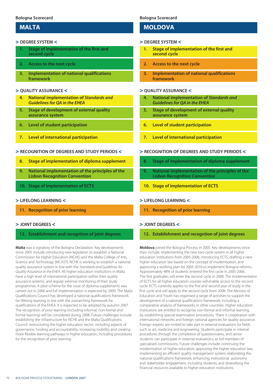## **MALTA**

### > **DEGREE SYSTEM** <

- **1. Stage of implementation of the first and second cycle**
- **2. Access to the next cycle**
- **3. Implementation of national qualifications framework**

## > **QUALITY ASSURANCE** <

- **4. National implementation of** *Standards and Guidelines for QA in the EHEA*
- **5. Stage of development of external quality assurance system**
- **6. Level of student participation**
- **7. Level of international participation**

## > **RECOGNITION OF DEGREES AND STUDY PERIODS** <

- **8. Stage of implementation of diploma supplement**
- **9. National implementation of the principles of the Lisbon Recognition Convention**
- **10. Stage of implementation of ECTS**

## > **LIFELONG LEARNING** <

**11. Recognition of prior learning** 

## > **JOINT DEGREES** <

## **12. Establishment and recogntion of joint degrees**

**Malta** was a signatory of the Bologna Declaration. Key developments since 2005 include introducing new legislation to establish a National Commission for Higher Education (NCHE) and the Malta College of Arts, Science and Technology (MCAST). NCHE is working to establish a national quality assurance system in line with the *Standards and Guidelines for Quality Assurance in the EHEA.* All higher education institutions in Malta have a high level of international participation within their quality assurance systems, and regular external monitoring of their study programmes. A pilot scheme for the issue of diploma supplements was carried out in 2006 and full implementation is expected by 2009. The Malta Qualifications Council has developed a national qualifications framework for lifelong learning in line with the overarching framework for qualifications of the EHEA. It is expected to be adopted by autumn 2007. The recognition of prior learning (including informal, non-formal and formal learning) will be considered during 2008. Future challenges include: establishing the infrastructure for NCHE and the Malta Qualifications Council: restructuring the higher education sector, including aspects of governance, funding and accountability; increasing mobility; and creating more flexible learning pathways in higher education, including procedures for the recognition of prior learning.

## **Bologna Scorecard**

## **MOLDOVA**

#### > **DEGREE SYSTEM** <

- **1. Stage of implementation of the first and second cycle**
- **2. Access to the next cycle**
- **3. Implementation of national qualifications framework**

## > **QUALITY ASSURANCE** <

- **4. National implementation of** *Standards and Guidelines for QA in the EHEA*
- **5. Stage of development of external quality assurance system**
- **6. Level of student participation**
- **7. Level of international participation**

## > **RECOGNITION OF DEGREES AND STUDY PERIODS** <

- **8. Stage of implementation of diploma supplement**
- **9. National implementation of the principles of the Lisbon Recognition Convention**
- **10. Stage of implementation of ECTS**

## > **LIFELONG LEARNING** <

**11. Recognition of prior learning** 

## > **JOINT DEGREES** <

**12. Establishment and recogntion of joint degrees**

**Moldova** joined the Bologna Process in 2005. Key developments since then include: implementing the new two-cycle system in all higher education institutions from 2005-2006; introducing ECTS; drafting a new higher education law based on the concept of modernisation; and approving a working plan for 2005-2010 to implement Bologna reforms. Approximately 48% of students entered the first cycle in 2005-2006. The first graduates will enter the second cycle in 2008. The implementation of ECTS for all higher education courses will enable access to the second cycle. ECTS currently applies to the first and second year of study in the first cycle and will apply to the second cycle from 2008. The Ministry of Education and Youth has organised a range of activities to support the development of a national qualifications framework, including a comparative analysis of frameworks in other countries. Higher education institutions are entitled to recognise non-formal and informal learning, by establishing special examination procedures. There is cooperation with international networks and foreign national agencies for quality assurance. Foreign experts are invited to take part in external evaluations for fields such as art, medicine and engineering. Students participate in internal procedures through the completion of questionnaires, and senior students can participate in external evaluations, as full members of specialised commissions. Future challenges include: continuing the modernisation of higher education; approving the higher education law; implementing an efficient quality management system; elaborating the national qualifications framework; enhancing institutional autonomy and stakeholder engagement, including students; and diversifying the financial resources available to higher education institutions.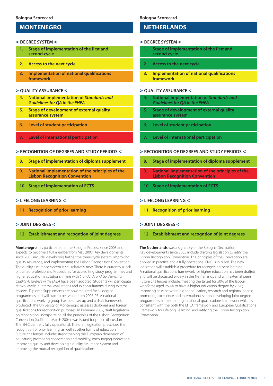# **MONTENEGRO**

## > **DEGREE SYSTEM** <

- **1. Stage of implementation of the first and second cycle**
- **2. Access to the next cycle**
- **3. Implementation of national qualifications framework**

#### > **QUALITY ASSURANCE** <

- **4. National implementation of** *Standards and Guidelines for QA in the EHEA*
- **5. Stage of development of external quality assurance system**
- **6. Level of student participation**
- **7. Level of international participation**

#### > **RECOGNITION OF DEGREES AND STUDY PERIODS** <

- **8. Stage of implementation of diploma supplement**
- **9. National implementation of the principles of the Lisbon Recognition Convention**
- **10. Stage of implementation of ECTS**

#### > **LIFELONG LEARNING** <

**11. Recognition of prior learning** 

## > **JOINT DEGREES** <

## **12. Establishment and recogntion of joint degrees**

**Montenegro** has participated in the Bologna Process since 2003 and expects to become a full member from May 2007. Key developments since 2005 include: developing further the three-cycle system, improving quality assurance; and implementing the Lisbon Recognition Convention. The quality assurance system is still relatively new. There is currently a lack of trained professionals. Procedures for accrediting study programmes and higher education institutions in line with *Standards and Guidelines for Quality Assurance in the EHEA* have been adopted. Students will participate at two levels: in internal evaluations and in consultations during external reviews. Diploma Supplements are now required for all degree programmes and will start to be issued from 2006-07. A national qualifications working group has been set up and a draft framework produced. The University of Montenegro assesses diplomas and foreign qualifications for recognition purposes. In February 2007, draft legislation on recognition, incorporating all the principles of the Lisbon Recognition Convention (ratified in March 2004), was issued for public discussion. The ENIC centre is fully operational. The draft legislation prescribes the recognition of prior learning, as well as other forms of education. Future challenges include: strengthening the European dimension of education; promoting cooperation and mobility; encouraging innovation; improving quality and developing a quality assurance system and improving the mutual recognition of qualifications.

#### **Bologna Scorecard**

## **NETHERLANDS**

#### > **DEGREE SYSTEM** <

- **1. Stage of implementation of the first and second cycle**
- **2. Access to the next cycle**
- **3. Implementation of national qualifications framework**

## > **QUALITY ASSURANCE** <

- **4. National implementation of** *Standards and Guidelines for QA in the EHEA*
- **5. Stage of development of external quality assurance system**
- **6. Level of student participation**
- **7. Level of international participation**

#### > **RECOGNITION OF DEGREES AND STUDY PERIODS** <

- **8. Stage of implementation of diploma supplement**
- **9. National implementation of the principles of the Lisbon Recognition Convention**
- **10. Stage of implementation of ECTS**

### > **LIFELONG LEARNING** <

**11. Recognition of prior learning** 

## > **JOINT DEGREES** <

**12. Establishment and recogntion of joint degrees**

**The Netherlands** was a signatory of the Bologna Declaration. Key developments since 2005 include drafting legislation to ratify the Lisbon Recognition Convention. The principles of the Convention are applied in practice and a fully operational ENIC is in place. The new legislation will establish a procedure for recognising prior learning. A national qualifications framework for higher education has been drafted and will be discussed widely in the Netherlands and with external peers. Future challenges include: meeting the target for 50% of the labour workforce aged 25-44 to have a higher education degree by 2020; improving links between higher education, research and regional needs; promoting excellence and internationalisation; developing joint degree programmes; implementing a national qualifications framework which is consistent with the both the EHEA framework and European Qualifications Framework for Lifelong Learning; and ratifying the Lisbon Recognition Convention.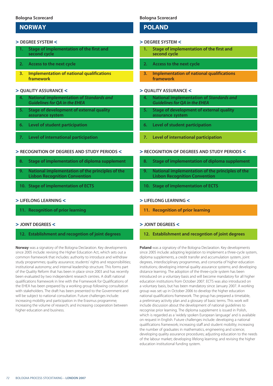## **NORWAY**

#### > **DEGREE SYSTEM** <

- **1. Stage of implementation of the first and second cycle**
- **2. Access to the next cycle**
- **3. Implementation of national qualifications framework**

## > **QUALITY ASSURANCE** <

- **4. National implementation of** *Standards and Guidelines for QA in the EHEA*
- **5. Stage of development of external quality assurance system**
- **6. Level of student participation**
- **7. Level of international participation**

## > **RECOGNITION OF DEGREES AND STUDY PERIODS** <

- **8. Stage of implementation of diploma supplement**
- **9. National implementation of the principles of the Lisbon Recognition Convention**
- **10. Stage of implementation of ECTS**

## > **LIFELONG LEARNING** <

**11. Recognition of prior learning** 

## > **JOINT DEGREES** <

## **12. Establishment and recogntion of joint degrees**

**Norway** was a signatory of the Bologna Declaration. Key developments since 2005 include: revising the Higher Education Act, which sets out a common framework that includes: authority to introduce and withdraw study programmes; quality assurance; students' rights and responsibilities; institutional autonomy; and internal leadership structure. This forms part of the Quality Reform that has been in place since 2003 and has recently been evaluated by two independent research centres. A draft national qualifications framework in line with the Framework for Qualifications of the EHEA has been prepared by a working group following consultation with stakeholders. The draft has been presented to the Government and will be subject to national consultation. Future challenges include: increasing mobility and participation in the Erasmus programme; increasing the volume of research; and increasing cooperation between higher education and business.

## **Bologna Scorecard**

## **POLAND**

#### > **DEGREE SYSTEM** <

- **1. Stage of implementation of the first and second cycle**
- **2. Access to the next cycle**
- **3. Implementation of national qualifications framework**

## > **QUALITY ASSURANCE** <

- **4. National implementation of** *Standards and Guidelines for QA in the EHEA*
- **5. Stage of development of external quality assurance system**
- **6. Level of student participation**
- **7. Level of international participation**

## > **RECOGNITION OF DEGREES AND STUDY PERIODS** <

- **8. Stage of implementation of diploma supplement**
- **9. National implementation of the principles of the Lisbon Recognition Convention**
- **10. Stage of implementation of ECTS**

## > **LIFELONG LEARNING** <

**11. Recognition of prior learning** 

## > **JOINT DEGREES** <

**12. Establishment and recogntion of joint degrees**

**Poland** was a signatory of the Bologna Declaration. Key developments since 2005 include: adopting legislation to implement a three-cycle system, diploma supplements, a credit transfer and accumulation system, joint degrees, interdisciplinary programmes, and consortia of higher education institutions; developing internal quality assurance systems; and developing distance learning. The adoption of the three-cycle system has been introduced on a voluntary basis and will become mandatory for all higher education institutions from October 2007. ECTS was also introduced on a voluntary basis, but has been mandatory since January 2007. A working group was set up in October 2006 to develop the higher education national qualifications framework. The group has prepared a timetable, a preliminary activity plan and a glossary of basic terms. This work will include discussion about the development of national guidelines to recognise prior learning. The diploma supplement is issued in Polish, which is regarded as a 'widely spoken European language' and is available on request in English. Future challenges include: developing a national qualifications framework; increasing staff and student mobility; increasing the number of graduates in mathematics, engineering and science; developing quality assurance procedures; adjusting education to the needs of the labour market; developing lifelong learning; and revising the higher education institutional funding system.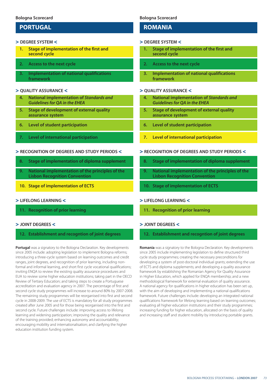# **PORTUGAL**

#### > **DEGREE SYSTEM** <

- **1. Stage of implementation of the first and second cycle**
- **2. Access to the next cycle**
- **3. Implementation of national qualifications framework**

#### > **QUALITY ASSURANCE** <

- **4. National implementation of** *Standards and Guidelines for QA in the EHEA*
- **5. Stage of development of external quality assurance system**
- **6. Level of student participation**
- **7. Level of international participation**

#### > **RECOGNITION OF DEGREES AND STUDY PERIODS** <

- **8. Stage of implementation of diploma supplement**
- **9. National implementation of the principles of the Lisbon Recognition Convention**
- **10. Stage of implementation of ECTS**

## > **LIFELONG LEARNING** <

**11. Recognition of prior learning** 

## > **JOINT DEGREES** <

## **12. Establishment and recogntion of joint degrees**

**Portugal** was a signatory to the Bologna Declaration. Key developments since 2005 include: adopting legislation to implement Bologna reforms; introducing a three-cycle system based on learning outcomes and credit ranges, joint degrees, and recognition of prior learning, including nonformal and informal learning, and short first cycle vocational qualifications; inviting ENQA to review the existing quality assurance procedures and EUA to review some higher education institutions; taking part in the OECD Review of Tertiary Education; and taking steps to create a Portuguese accreditation and evaluation agency in 2007. The percentage of first and second cycle study programmes will increase to around 80% by 2007-2008. The remaining study programmes will be reorganised into first and second cycle in 2008-2009. The use of ECTS is mandatory for all study programmes created after June 2005 and for those being reorganised into the first and second cycle. Future challenges include: improving access to lifelong learning and widening participation; improving the quality and relevance of the training provided; enhancing autonomy and accountability; encouraging mobility and internationalisation; and clarifying the higher education institution funding system.

## **Bologna Scorecard**

## **ROMANIA**

#### > **DEGREE SYSTEM** <

- **1. Stage of implementation of the first and second cycle**
- **2. Access to the next cycle**
- **3. Implementation of national qualifications framework**

## > **QUALITY ASSURANCE** <

- **4. National implementation of** *Standards and Guidelines for QA in the EHEA*
- **5. Stage of development of external quality assurance system**
- **6. Level of student participation**
- **7. Level of international participation**

#### > **RECOGNITION OF DEGREES AND STUDY PERIODS** <

- **8. Stage of implementation of diploma supplement**
- **9. National implementation of the principles of the Lisbon Recognition Convention**
- **10. Stage of implementation of ECTS**

## > **LIFELONG LEARNING** <

**11. Recognition of prior learning** 

## > **JOINT DEGREES** <

#### **12. Establishment and recogntion of joint degrees**

**Romania** was a signatory to the Bologna Declaration. Key developments since 2005 include implementing legislation to define structured third cycle study programmes; creating the necessary preconditions for developing a system of post-doctoral individual grants; extending the use of ECTS and diploma supplements; and developing a quality assurance framework by establishing the Romanian Agency for Quality Assurance in Higher Education, which applied for ENQA membership; and a new methodological framework for external evaluation of quality assurance. A national agency for qualifications in higher education has been set up, with the aim of developing and implementing a national qualifications framework. Future challenges include: developing an integrated national qualifications framework for lifelong learning based on learning outcomes; evaluating all higher education institutions and their study programmes; increasing funding for higher education, allocated on the basis of quality and increasing staff and student mobility by introducing portable grants.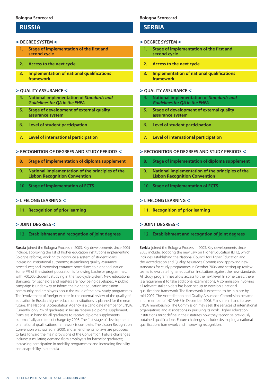## **RUSSIA**

### > **DEGREE SYSTEM** <

- **1. Stage of implementation of the first and second cycle**
- **2. Access to the next cycle**
- **3. Implementation of national qualifications framework**

## > **QUALITY ASSURANCE** <

- **4. National implementation of** *Standards and Guidelines for QA in the EHEA*
- **5. Stage of development of external quality assurance system**
- **6. Level of student participation**
- **7. Level of international participation**

#### > **RECOGNITION OF DEGREES AND STUDY PERIODS** <

- **8. Stage of implementation of diploma supplement**
- **9. National implementation of the principles of the Lisbon Recognition Convention**
- **10. Stage of implementation of ECTS**

#### > **LIFELONG LEARNING** <

**11. Recognition of prior learning** 

#### > **JOINT DEGREES** <

## **12. Establishment and recogntion of joint degrees**

**Russia** joined the Bologna Process in 2003. Key developments since 2005 include: approving the list of higher education institutions implementing Bologna reforms; working to introduce a system of student loans; increasing institutional autonomy; streamlining quality assurance procedures; and improving entrance procedures to higher education. Some 7% of the student population is following bachelor programmes, with 700,000 students studying in the two-cycle system. New educational standards for bachelors and masters are now being developed. A public campaign is under way to inform the higher education institution community and employers about the value of the new study programmes. The involvement of foreign experts in the external review of the quality of education in Russian higher education institutions is planned for the near future. The National Accreditation Agency is a candidate member of ENQA. Currently, only 2% of graduates in Russia receive a diploma supplement. Plans are in hand for all graduates to receive diploma supplements automatically and free of charge by 2008. The first stage of development of a national qualifications framework is complete. The Lisbon Recognition Convention was ratified in 2000, and amendments to laws are proposed to take forward the main provisions of the Convention. Future challenges include: stimulating demand from employers for bachelor graduates; increasing participation in mobility programmes; and increasing flexibility and adaptability in curricula.

## **Bologna Scorecard**

## **SERBIA**

#### > **DEGREE SYSTEM** <

- **1. Stage of implementation of the first and second cycle**
- **2. Access to the next cycle**
- **3. Implementation of national qualifications framework**

## > **QUALITY ASSURANCE** <

- **4. National implementation of** *Standards and Guidelines for QA in the EHEA*
- **5. Stage of development of external quality assurance system**
- **6. Level of student participation**
- **7. Level of international participation**

#### > **RECOGNITION OF DEGREES AND STUDY PERIODS** <

- **8. Stage of implementation of diploma supplement**
- **9. National implementation of the principles of the Lisbon Recognition Convention**
- **10. Stage of implementation of ECTS**

### > **LIFELONG LEARNING** <

**11. Recognition of prior learning** 

## > **JOINT DEGREES** <

## **12. Establishment and recogntion of joint degrees**

**Serbia** joined the Bologna Process in 2003. Key developments since 2005 include: adopting the new Law on Higher Education (LHE), which includes establishing the National Council for Higher Education and the Accreditation and Quality Assurance Commission; approving new standards for study programmes in October 2006; and setting up review teams to evaluate higher education institutions against the new standards. All study programmes allow access to the next level. In some cases, there is a requirement to take additional examinations. A commission involving all relevant stakeholders has been set up to develop a national qualifications framework. The framework is expected to be in place by mid 2007. The Accreditation and Quality Assurance Commission became a full member of INQAAHE in December 2006. Plans are in hand to seek ENQA membership. The Commission may seek the services of international organisations and associations in pursuing its work. Higher education institutions must define in their statutes how they recognise previously obtained qualifications. Future challenges include: developing a national qualifications framework and improving recognition.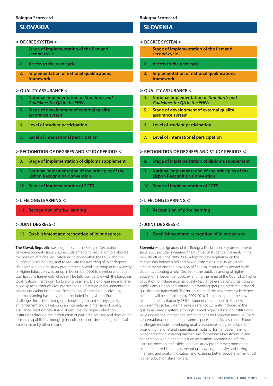# **SLOVAKIA**

#### > **DEGREE SYSTEM** <

- **1. Stage of implementation of the first and second cycle**
- **2. Access to the next cycle**
- **3. Implementation of national qualifications framework**

## > **QUALITY ASSURANCE** <

- **4. National implementation of** *Standards and Guidelines for QA in the EHEA*
- **5. Stage of development of external quality assurance system**
- **6. Level of student participation**
- **7. Level of international participation**

#### > **RECOGNITION OF DEGREES AND STUDY PERIODS** <

- **8. Stage of implementation of diploma supplement**
- **9. National implementation of the principles of the Lisbon Recognition Convention**
- **10. Stage of implementation of ECTS**

## > **LIFELONG LEARNING** <

**11. Recognition of prior learning** 

## > **JOINT DEGREES** <

## **12. Establishment and recogntion of joint degrees**

**The Slovak Republic** was a signatory of the Bologna Declaration. Key developments since 2005 include amending legislation to elaborate the position of higher education institutions within the EHEA and the European Research Area, and to regulate the awarding of joint degrees after completing joint study programmes. A working group of the Ministry of Higher Education was set up in December 2006 to develop a national qualifications framework, which will be fully compatible with the European Qualifications Framework for Lifelong Learning. Lifelong learning is offered at workplaces, through civic organisations, education establishments and private education institutions. Recognition of education received by informal learning has not yet been included in legislation. Future challenges include: building up a knowledge-based society; quality enhancement and developing an international dimension of quality assurance; creating new financial resources for higher education institutions through the introduction of part-time courses; and developing research capabilities, through joint collaborations, developing centres of excellence or by other means.

## **Bologna Scorecard**

## **SLOVENIA**

#### > **DEGREE SYSTEM** <

- **1. Stage of implementation of the first and second cycle**
- **2. Access to the next cycle**
- **3. Implementation of national qualifications framework**

## > **QUALITY ASSURANCE** <

- **4. National implementation of** *Standards and Guidelines for QA in the EHEA*
- **5. Stage of development of external quality assurance system**
- **6. Level of student participation**
- **7. Level of international participation**

#### > **RECOGNITION OF DEGREES AND STUDY PERIODS** <

- **8. Stage of implementation of diploma supplement**
- **9. National implementation of the principles of the Lisbon Recognition Convention**
- **10. Stage of implementation of ECTS**

## > **LIFELONG LEARNING** <

**11. Recognition of prior learning** 

## > **JOINT DEGREES** <

## **12. Establishment and recogntion of joint degrees**

**Slovenia** was a signatory of the Bologna Declaration. Key developments since 2005 include: increasing the number of student enrolments in the new structure since 2005-2006; adopting new legislation on the relationship between old and new qualifications, quality assurance arrangements and the provision of financial resources to second cycle students; adopting a new Decree on the public financing of higher education in December 2006; extending the remit of the Council of Higher Education to include external quality assurance evaluations; organising a public consultation and setting up a working group to prepare a national qualifications framework. The introduction of the new three-cycle degree structure will be completed by 2009-2010. The phasing in of the new structure means that only 13% of students are enrolled in the new programmes so far. External reviews are not currently included in the quality assurance system, although several higher education institutions have undergone international accreditations on their own initiative. There is international cooperation in some aspects of quality assurance. Future challenges include: developing quality assurance in higher education; promoting national and international mobility; further decentralising higher education; creating mechanisms for business investment in and cooperation with higher education institutions; recognising informal learning; developing flexible and joint study programmes; promoting student-centred learning; developing knowledge transfer and linking financing and quality indicators; and fostering better cooperation amongst higher education stakeholders.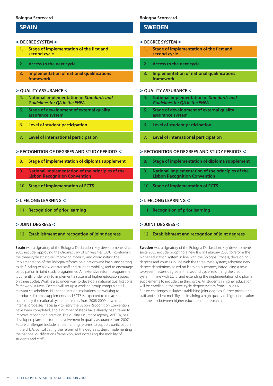## **SPAIN**

#### > **DEGREE SYSTEM** <

- **1. Stage of implementation of the first and second cycle**
- **2. Access to the next cycle**
- **3. Implementation of national qualifications framework**

## > **QUALITY ASSURANCE** <

- **4. National implementation of** *Standards and Guidelines for QA in the EHEA*
- **5. Stage of development of external quality assurance system**
- **6. Level of student participation**
- **7. Level of international participation**

## > **RECOGNITION OF DEGREES AND STUDY PERIODS** <

- **8. Stage of implementation of diploma supplement**
- **9. National implementation of the principles of the Lisbon Recognition Convention**
- **10. Stage of implementation of ECTS**

## > **LIFELONG LEARNING** <

**11. Recognition of prior learning** 

## > **JOINT DEGREES** <

## **12. Establishment and recogntion of joint degrees**

**Spain** was a signatory of the Bologna Declaration. Key developments since 2005 include: approving the Organic Law of Universities (LOU); confirming the three-cycle structure; improving mobility and coordinating the implementation of the Bologna reforms on a nationwide basis; and setting aside funding to allow greater staff and student mobility, and to encourage participation in joint study programmes. An extensive reform programme is currently under way to implement a system of higher education based on three cycles. Work is also under way to develop a national qualifications framework. A Royal Decree will set up a working group comprising all relevant stakeholders. Higher education institutions are working to introduce diploma supplements and ECTS is expected to replace completely the national system of credits from 2008-2009 onwards. Internal processes necessary to ratify the Lisbon Recognition Convention have been completed, and a number of steps have already been taken to improve recognition practice. The quality assurance agency, ANECA, has developed plans for student involvement in quality assurance from 2007. Future challenges include: implementing reforms to support participation in the EHEA; consolidating the reform of the degree system; implementing the national qualifications framework; and increasing the mobility of students and staff.

## **Bologna Scorecard**

## **SWEDEN**

### > **DEGREE SYSTEM** <

- **1. Stage of implementation of the first and second cycle**
- **2. Access to the next cycle**
- **3. Implementation of national qualifications framework**

## > **QUALITY ASSURANCE** <

- **4. National implementation of** *Standards and Guidelines for QA in the EHEA*
- **5. Stage of development of external quality assurance system**
- **6. Level of student participation**
- **7. Level of international participation**

## > **RECOGNITION OF DEGREES AND STUDY PERIODS** <

- **8. Stage of implementation of diploma supplement**
- **9. National implementation of the principles of the Lisbon Recognition Convention**
- **10. Stage of implementation of ECTS**

## > **LIFELONG LEARNING** <

**11. Recognition of prior learning** 

## > **JOINT DEGREES** <

**12. Establishment and recogntion of joint degrees**

**Sweden** was a signatory of the Bologna Declaration. Key developments since 2005 include: adopting a new law in February 2006 to reform the higher education system in line with the Bologna Process; developing degrees and courses in line with the three-cycle system; adopting new degree descriptions based on learning outcomes; introducing a new two-year masters degree in the second cycle; reforming the credit system in line with ECTS; and extending the implementation of diploma supplements to include the third cycle. All students in higher education will be enrolled in the three-cycle degree system from July 2007. Future challenges include: establishing joint degrees; further promoting staff and student mobility; maintaining a high quality of higher education and the link between higher education and research.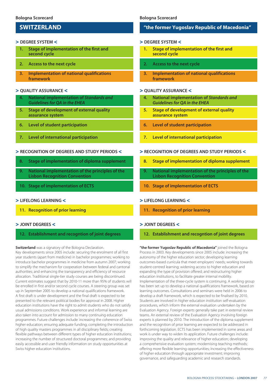# **SWITZERLAND**

## > **DEGREE SYSTEM** <

- **1. Stage of implementation of the first and second cycle**
- **2. Access to the next cycle**
- **3. Implementation of national qualifications framework**

## > **QUALITY ASSURANCE** <

- **4. National implementation of** *Standards and Guidelines for QA in the EHEA*
- **5. Stage of development of external quality assurance system**
- **6. Level of student participation**
- **7. Level of international participation**

#### > **RECOGNITION OF DEGREES AND STUDY PERIODS** <

- **8. Stage of implementation of diploma supplement**
- **9. National implementation of the principles of the Lisbon Recognition Convention**
- **10. Stage of implementation of ECTS**

#### > **LIFELONG LEARNING** <

**11. Recognition of prior learning** 

#### > **JOINT DEGREES** <

## **12. Establishment and recogntion of joint degrees**

**Switzerland** was a signatory of the Bologna Declaration.

Key developments since 2005 include: securing the enrolment of all first year students (apart from medicine) in bachelor programmes; working to introduce bachelor programmes in medicine from autumn 2007; working to simplify the mechanism for cooperation between federal and cantonal authorities; and enhancing the transparency and efficiency of resource allocation. Traditional single-tier study courses are being discontinued. Current estimates suggest that by 2010-11 more than 95% of students will be enrolled in first and/or second cycle courses. A steering group was set up in September 2005 to develop a national qualifications framework. A first draft is under development and the final draft is expected to be presented to the relevant political bodies for approval in 2008. Higher education institutions have the right to admit students who do not satisfy usual admissions conditions. Work experience and informal learning are also taken into account for admission to many continuing education programmes. Future challenges include: increasing the coherence of Swiss higher education; ensuring adequate funding; completing the introduction of high quality masters programmes in all disciplinary fields; creating flexible pathways between different types of higher education institutions; increasing the number of structured doctoral programmes; and providing easily accessible and user friendly information on study opportunities at Swiss higher education institutions.

#### **Bologna Scorecard**

## **"the former Yugoslav Republic of Macedonia"**

#### > **DEGREE SYSTEM** <

- **1. Stage of implementation of the first and second cycle**
- **2. Access to the next cycle**
- **3. Implementation of national qualifications framework**

## > **QUALITY ASSURANCE** <

- **4. National implementation of** *Standards and Guidelines for QA in the EHEA*
- **5. Stage of development of external quality assurance system**
- **6. Level of student participation**
- **7. Level of international participation**

#### > **RECOGNITION OF DEGREES AND STUDY PERIODS** <

- **8. Stage of implementation of diploma supplement**
- **9. National implementation of the principles of the Lisbon Recognition Convention**
- **10. Stage of implementation of ECTS**

### > **LIFELONG LEARNING** <

**11. Recognition of prior learning** 

## > **JOINT DEGREES** <

**12. Establishment and recogntion of joint degrees**

**"the former Yugoslav Republic of Macedonia"** joined the Bologna Process in 2003. Key developments since 2005 include: increasing the autonomy of the higher education sector; developing learning outcomes-based curricula that meet employers' needs; working towards student-centred learning; widening access to higher education and expanding the type of provision offered; and restructuring higher education institutions, to facilitate greater internal mobility. Implementation of the three-cycle system is continuing. A working group has been set up to develop a national qualifications framework, based on learning outcomes. Consultations and seminars were held in 2006 to develop a draft framework, which is expected to be finalised by 2010. Students are involved in higher education institution self-evaluation procedures, which inform the external evaluation undertaken by the Evaluation Agency. Foreign experts generally take part in external review teams. An external review of the Evaluation Agency involving foreign experts is planned by 2010. The introduction of the diploma supplement and the recognition of prior learning are expected to be addressed in forthcoming legislation. ECTS has been implemented in some areas and work is under way to widen its application. Future challenges include: improving the quality and relevance of higher education; developing a comprehensive evaluation system; modernising teaching methods; offering more flexible learning opportunities; increasing the effectiveness of higher education through appropriate investment; improving governance, and safeguarding academic and research standards.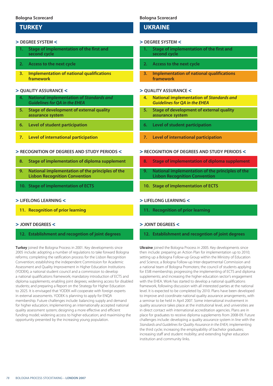## **TURKEY**

#### > **DEGREE SYSTEM** <

- **1. Stage of implementation of the first and second cycle**
- **2. Access to the next cycle**
- **3. Implementation of national qualifications framework**

## > **QUALITY ASSURANCE** <

- **4. National implementation of** *Standards and Guidelines for QA in the EHEA*
- **5. Stage of development of external quality assurance system**
- **6. Level of student participation**
- **7. Level of international participation**

## > **RECOGNITION OF DEGREES AND STUDY PERIODS** <

- **8. Stage of implementation of diploma supplement**
- **9. National implementation of the principles of the Lisbon Recognition Convention**
- **10. Stage of implementation of ECTS**

## > **LIFELONG LEARNING** <

**11. Recognition of prior learning** 

## > **JOINT DEGREES** <

## **12. Establishment and recogntion of joint degrees**

**Turkey** joined the Bologna Process in 2001. Key developments since 2005 include: adopting a number of regulations to take forward Bologna reforms; completing the ratification process for the Lisbon Recognition Convention; establishing the independent Commission for Academic Assessment and Quality Improvement in Higher Education Institutions (YODEK), a national student council and a commission to develop a national qualifications framework; mandatory introduction of ECTS and diploma supplements; enabling joint degrees; widening access for disabled students; and preparing a Report on the Strategy for Higher Education to 2025. It is envisaged that YODEK will cooperate with foreign experts in external assessments. YODEK is planning to apply for ENQA membership. Future challenges include: balancing supply and demand for higher education; implementing an internationally accepted national quality assessment system; designing a more effective and efficient funding model; widening access to higher education; and maximising the opportunity presented by the increasing young population.

## **Bologna Scorecard**

## **UKRAINE**

#### > **DEGREE SYSTEM** <

- **1. Stage of implementation of the first and second cycle**
- **2. Access to the next cycle**
- **3. Implementation of national qualifications framework**

## > **QUALITY ASSURANCE** <

- **4. National implementation of** *Standards and Guidelines for QA in the EHEA*
- **5. Stage of development of external quality assurance system**
- **6. Level of student participation**
- **7. Level of international participation**

## > **RECOGNITION OF DEGREES AND STUDY PERIODS** <

- **8. Stage of implementation of diploma supplement**
- **9. National implementation of the principles of the Lisbon Recognition Convention**
- **10. Stage of implementation of ECTS**

## > **LIFELONG LEARNING** <

**11. Recognition of prior learning** 

## > **JOINT DEGREES** <

## **12. Establishment and recogntion of joint degrees**

**Ukraine** joined the Bologna Process in 2005. Key developments since then include: preparing an Action Plan for implementation up to 2010; setting up a Bologna Follow-up Group within the Ministry of Education and Science, a Bologna Follow-up Inter-departmental Commission and a national team of Bologna Promoters; the council of students applying for ESIB membership; progressing the implementing of ECTS and diploma supplements; and increasing the higher education sector's engagement with the EHEA. Work has started to develop a national qualifications framework, following discussion with all interested parties at the national level. It is expected to be completed by 2010. Plans have been developed to improve and coordinate national quality assurance arrangements, with a seminar to be held in April 2007. Some international involvement in quality assurance takes place at the institutional level, and universities are in direct contact with international accreditation agencies. Plans are in place for graduates to receive diploma supplements from 2008-09. Future challenges include: developing a quality assurance system in line with the *Standards and Guidelines for Quality Assurance in the EHEA*; implementing the third cycle; increasing the employability of bachelor graduates; increasing staff and student mobility; and extending higher education institution and community links.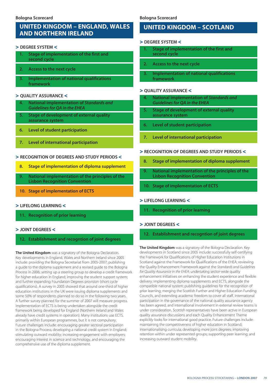# **UNITED KINGDOM – ENGLAND, WALES AND NORTHERN IRELAND**

#### > **DEGREE SYSTEM** <

- **1. Stage of implementation of the first and second cycle**
- **2. Access to the next cycle**
- **3. Implementation of national qualifications framework**

## > **QUALITY ASSURANCE** <

- **4. National implementation of** *Standards and Guidelines for QA in the EHEA*
- **5. Stage of development of external quality assurance system**
- **6. Level of student participation**
- **7. Level of international participation**

## > **RECOGNITION OF DEGREES AND STUDY PERIODS** <

- **8. Stage of implementation of diploma supplement**
- **9. National implementation of the principles of the Lisbon Recognition Convention**
- **10. Stage of implementation of ECTS**

## > **LIFELONG LEARNING** <

**11. Recognition of prior learning** 

## > **JOINT DEGREES** <

## **12. Establishment and recogntion of joint degrees**

**The United Kingdom** was a signatory of the Bologna Declaration. Key developments in England, Wales and Northern Ireland since 2005 include: providing the Bologna Secretariat from 2005-2007; publishing a guide to the diploma supplement and a revised guide to the Bologna Process in 2006; setting up a steering group to develop a credit framework for higher education in England; improving the student support system; and further expanding Foundation Degrees provision (short cycle qualifications). A survey in 2005 showed that around one-third of higher education institutions in the UK were issuing diploma supplements and some 50% of respondents planned to do so in the following two years. A further survey planned for the summer of 2007 will measure progress. Implementation of ECTS is being undertaken alongside the credit framework being developed for England (Northern Ireland and Wales already have credit systems in operation). Many institutions use ECTS, primarily within European programmes, but it is not compulsory. Future challenges include: encouraging greater sectoral participation in the Bologna Process; developing a national credit system in England; stimulating outward mobility; increasing engagement with employers; encouraging interest in science and technology, and encouraging the comprehensive use of the diploma supplement.

## **Bologna Scorecard**

# **UNITED KINGDOM – SCOTLAND**

#### > **DEGREE SYSTEM** <

- **1. Stage of implementation of the first and second cycle**
- **2. Access to the next cycle**
- **3. Implementation of national qualifications framework**

## > **QUALITY ASSURANCE** <

- **4. National implementation of** *Standards and Guidelines for QA in the EHEA*
- **5. Stage of development of external quality assurance system**
- **6. Level of student participation**
- **7. Level of international participation**

## > **RECOGNITION OF DEGREES AND STUDY PERIODS** <

- **8. Stage of implementation of diploma supplement**
- **9. National implementation of the principles of the Lisbon Recognition Convention**
- **10. Stage of implementation of ECTS**

## > **LIFELONG LEARNING** <

**11. Recognition of prior learning** 

## > **JOINT DEGREES** <

**12. Establishment and recogntion of joint degrees**

**The United Kingdom** was a signatory of the Bologna Declaration. Key developments in Scotland since 2005 include: successfully self-certifying the Framework for Qualifications of Higher Education Institutions in Scotland against the Framework for Qualifications of the EHEA; reviewing the Quality Enhancement Framework against the *Standards and Guidelines for Quality Assurance in the EHEA*; undertaking sector-wide quality enhancement initiatives on enhancing the student experience and flexible delivery; implementing diploma supplements and ECTS, alongside the compatible national system; publishing guidelines for the recognition of prior learning; merging the Scottish Further and Higher Education Funding Councils, and extending academic freedom to cover all staff. International participation in the governance of the national quality assurance agency has been agreed, and international involvement in external review teams is under consideration. Scottish representatives have been active in European quality assurance discussions and each Quality Enhancement Theme explicitly looks for international good practice. Future challenges include: maintaining the competitiveness of higher education in Scotland; internationalising curricula; developing more joint degrees; improving retention within under represented groups; supporting peer learning; and increasing outward student mobility.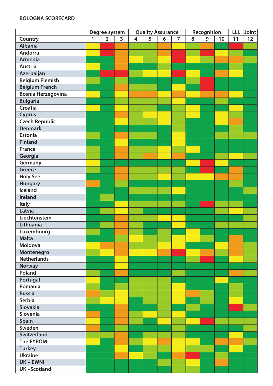# **BOLOGNA SCORECARD**

|                           | Degree system |             |                | <b>Quality Assurance</b> |   |   |                | Recognition |   |    | <b>LLL</b> | Joint |
|---------------------------|---------------|-------------|----------------|--------------------------|---|---|----------------|-------------|---|----|------------|-------|
| Country                   | $\mathbf{1}$  | $2^{\circ}$ | $\overline{3}$ | $\overline{\mathbf{4}}$  | 5 | 6 | $\overline{7}$ | 8           | 9 | 10 | 11         | 12    |
| <b>Albania</b>            |               |             |                |                          |   |   |                |             |   |    |            |       |
| <b>Andorra</b>            |               |             |                |                          |   |   |                |             |   |    |            |       |
| <b>Armenia</b>            |               |             |                |                          |   |   |                |             |   |    |            |       |
| <b>Austria</b>            |               |             |                |                          |   |   |                |             |   |    |            |       |
| Azerbaijan                |               |             |                |                          |   |   |                |             |   |    |            |       |
| <b>Belgium Flemish</b>    |               |             |                |                          |   |   |                |             |   |    |            |       |
| <b>Belgium French</b>     |               |             |                |                          |   |   |                |             |   |    |            |       |
| <b>Bosnia Herzegovina</b> |               |             |                |                          |   |   |                |             |   |    |            |       |
| <b>Bulgaria</b>           |               |             |                |                          |   |   |                |             |   |    |            |       |
| <b>Croatia</b>            |               |             |                |                          |   |   |                |             |   |    |            |       |
| <b>Cyprus</b>             |               |             |                |                          |   |   |                |             |   |    |            |       |
| <b>Czech Republic</b>     |               |             |                |                          |   |   |                |             |   |    |            |       |
| <b>Denmark</b>            |               |             |                |                          |   |   |                |             |   |    |            |       |
| <b>Estonia</b>            |               |             |                |                          |   |   |                |             |   |    |            |       |
| <b>Finland</b>            |               |             |                |                          |   |   |                |             |   |    |            |       |
| <b>France</b>             |               |             |                |                          |   |   |                |             |   |    |            |       |
| Georgia                   |               |             |                |                          |   |   |                |             |   |    |            |       |
| Germany                   |               |             |                |                          |   |   |                |             |   |    |            |       |
| <b>Greece</b>             |               |             |                |                          |   |   |                |             |   |    |            |       |
| <b>Holy See</b>           |               |             |                |                          |   |   |                |             |   |    |            |       |
| <b>Hungary</b>            |               |             |                |                          |   |   |                |             |   |    |            |       |
| <b>Iceland</b>            |               |             |                |                          |   |   |                |             |   |    |            |       |
| <b>Ireland</b>            |               |             |                |                          |   |   |                |             |   |    |            |       |
| <b>Italy</b>              |               |             |                |                          |   |   |                |             |   |    |            |       |
| Latvia                    |               |             |                |                          |   |   |                |             |   |    |            |       |
| Liechtenstein             |               |             |                |                          |   |   |                |             |   |    |            |       |
| Lithuania                 |               |             |                |                          |   |   |                |             |   |    |            |       |
| Luxembourg                |               |             |                |                          |   |   |                |             |   |    |            |       |
| <b>Malta</b>              |               |             |                |                          |   |   |                |             |   |    |            |       |
| <b>Moldova</b>            |               |             |                |                          |   |   |                |             |   |    |            |       |
| Montenegro                |               |             |                |                          |   |   |                |             |   |    |            |       |
| <b>Netherlands</b>        |               |             |                |                          |   |   |                |             |   |    |            |       |
| <b>Norway</b>             |               |             |                |                          |   |   |                |             |   |    |            |       |
| Poland                    |               |             |                |                          |   |   |                |             |   |    |            |       |
| Portugal                  |               |             |                |                          |   |   |                |             |   |    |            |       |
| Romania                   |               |             |                |                          |   |   |                |             |   |    |            |       |
| <b>Russia</b>             |               |             |                |                          |   |   |                |             |   |    |            |       |
| <b>Serbia</b>             |               |             |                |                          |   |   |                |             |   |    |            |       |
| <b>Slovakia</b>           |               |             |                |                          |   |   |                |             |   |    |            |       |
| Slovenia                  |               |             |                |                          |   |   |                |             |   |    |            |       |
| <b>Spain</b>              |               |             |                |                          |   |   |                |             |   |    |            |       |
| Sweden                    |               |             |                |                          |   |   |                |             |   |    |            |       |
| Switzerland               |               |             |                |                          |   |   |                |             |   |    |            |       |
| <b>The FYROM</b>          |               |             |                |                          |   |   |                |             |   |    |            |       |
| <b>Turkey</b>             |               |             |                |                          |   |   |                |             |   |    |            |       |
| <b>Ukraine</b>            |               |             |                |                          |   |   |                |             |   |    |            |       |
| <b>UK-EWNI</b>            |               |             |                |                          |   |   |                |             |   |    |            |       |
| <b>UK-Scotland</b>        |               |             |                |                          |   |   |                |             |   |    |            |       |